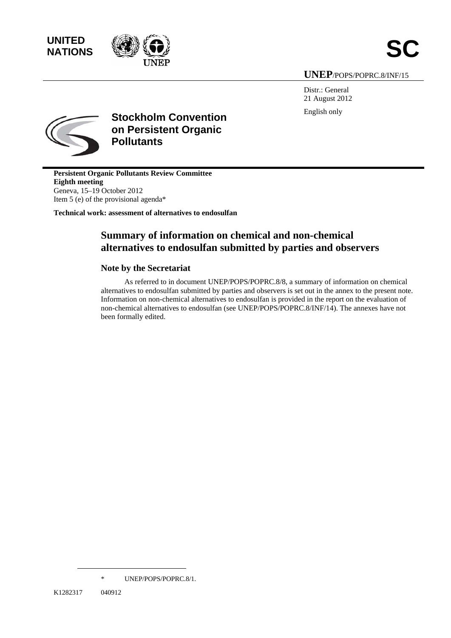



### **UNEP**/POPS/POPRC.8/INF/15

Distr.: General 21 August 2012 English only



**Stockholm Convention on Persistent Organic Pollutants** 

**Persistent Organic Pollutants Review Committee Eighth meeting**  Geneva, 15–19 October 2012 Item 5 (e) of the provisional agenda\*

**Technical work: assessment of alternatives to endosulfan** 

## **Summary of information on chemical and non-chemical alternatives to endosulfan submitted by parties and observers**

#### **Note by the Secretariat**

As referred to in document UNEP/POPS/POPRC.8/8, a summary of information on chemical alternatives to endosulfan submitted by parties and observers is set out in the annex to the present note. Information on non-chemical alternatives to endosulfan is provided in the report on the evaluation of non-chemical alternatives to endosulfan (see UNEP/POPS/POPRC.8/INF/14). The annexes have not been formally edited.

 $\overline{a}$ 

<sup>\*</sup> UNEP/POPS/POPRC.8/1.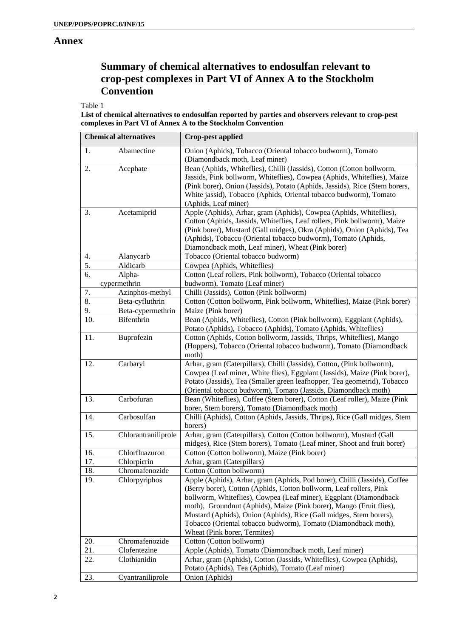#### **Annex**

# **Summary of chemical alternatives to endosulfan relevant to crop-pest complexes in Part VI of Annex A to the Stockholm Convention**

Table 1

**List of chemical alternatives to endosulfan reported by parties and observers relevant to crop-pest complexes in Part VI of Annex A to the Stockholm Convention**

| <b>Chemical alternatives</b> |                     | <b>Crop-pest applied</b>                                                    |
|------------------------------|---------------------|-----------------------------------------------------------------------------|
| 1.                           | Abamectine          | Onion (Aphids), Tobacco (Oriental tobacco budworm), Tomato                  |
|                              |                     | (Diamondback moth, Leaf miner)                                              |
| 2.                           | Acephate            | Bean (Aphids, Whiteflies), Chilli (Jassids), Cotton (Cotton bollworm,       |
|                              |                     | Jassids, Pink bollworm, Whiteflies), Cowpea (Aphids, Whiteflies), Maize     |
|                              |                     | (Pink borer), Onion (Jassids), Potato (Aphids, Jassids), Rice (Stem borers, |
|                              |                     | White jassid), Tobacco (Aphids, Oriental tobacco budworm), Tomato           |
|                              |                     | (Aphids, Leaf miner)                                                        |
| 3.                           | Acetamiprid         | Apple (Aphids), Arhar, gram (Aphids), Cowpea (Aphids, Whiteflies),          |
|                              |                     | Cotton (Aphids, Jassids, Whiteflies, Leaf rollers, Pink bollworm), Maize    |
|                              |                     | (Pink borer), Mustard (Gall midges), Okra (Aphids), Onion (Aphids), Tea     |
|                              |                     | (Aphids), Tobacco (Oriental tobacco budworm), Tomato (Aphids,               |
|                              |                     | Diamondback moth, Leaf miner), Wheat (Pink borer)                           |
| 4.                           | Alanycarb           | Tobacco (Oriental tobacco budworm)                                          |
| 5.                           | Aldicarb            | Cowpea (Aphids, Whiteflies)                                                 |
| 6.                           | Alpha-              | Cotton (Leaf rollers, Pink bollworm), Tobacco (Oriental tobacco             |
|                              | cypermethrin        | budworm), Tomato (Leaf miner)                                               |
| 7.                           | Azinphos-methyl     | Chilli (Jassids), Cotton (Pink bollworm)                                    |
| 8.                           | Beta-cyfluthrin     | Cotton (Cotton bollworm, Pink bollworm, Whiteflies), Maize (Pink borer)     |
| 9.                           | Beta-cypermethrin   | Maize (Pink borer)                                                          |
| 10.                          | Bifenthrin          | Bean (Aphids, Whiteflies), Cotton (Pink bollworm), Eggplant (Aphids),       |
|                              |                     | Potato (Aphids), Tobacco (Aphids), Tomato (Aphids, Whiteflies)              |
| 11.                          | Buprofezin          | Cotton (Aphids, Cotton bollworm, Jassids, Thrips, Whiteflies), Mango        |
|                              |                     | (Hoppers), Tobacco (Oriental tobacco budworm), Tomato (Diamondback          |
|                              |                     | moth)                                                                       |
| 12.                          | Carbaryl            | Arhar, gram (Caterpillars), Chilli (Jassids), Cotton, (Pink bollworm),      |
|                              |                     | Cowpea (Leaf miner, White flies), Eggplant (Jassids), Maize (Pink borer),   |
|                              |                     | Potato (Jassids), Tea (Smaller green leafhopper, Tea geometrid), Tobacco    |
|                              |                     | (Oriental tobacco budworm), Tomato (Jassids, Diamondback moth)              |
| 13.                          | Carbofuran          | Bean (Whiteflies), Coffee (Stem borer), Cotton (Leaf roller), Maize (Pink   |
|                              |                     | borer, Stem borers), Tomato (Diamondback moth)                              |
| 14.                          | Carbosulfan         | Chilli (Aphids), Cotton (Aphids, Jassids, Thrips), Rice (Gall midges, Stem  |
|                              |                     | borers)                                                                     |
| 15.                          | Chlorantraniliprole | Arhar, gram (Caterpillars), Cotton (Cotton bollworm), Mustard (Gall         |
|                              |                     | midges), Rice (Stem borers), Tomato (Leaf miner, Shoot and fruit borer)     |
| 16.                          | Chlorfluazuron      | Cotton (Cotton bollworm), Maize (Pink borer)                                |
| 17.                          | Chlorpicrin         | Arhar, gram (Caterpillars)                                                  |
| 18.                          | Chromafenozide      | Cotton (Cotton bollworm)                                                    |
| 19.                          | Chlorpyriphos       | Apple (Aphids), Arhar, gram (Aphids, Pod borer), Chilli (Jassids), Coffee   |
|                              |                     | (Berry borer), Cotton (Aphids, Cotton bollworm, Leaf rollers, Pink          |
|                              |                     | bollworm, Whiteflies), Cowpea (Leaf miner), Eggplant (Diamondback           |
|                              |                     | moth), Groundnut (Aphids), Maize (Pink borer), Mango (Fruit flies),         |
|                              |                     | Mustard (Aphids), Onion (Aphids), Rice (Gall midges, Stem borers),          |
|                              |                     | Tobacco (Oriental tobacco budworm), Tomato (Diamondback moth),              |
|                              |                     | Wheat (Pink borer, Termites)                                                |
| 20.                          | Chromafenozide      | Cotton (Cotton bollworm)                                                    |
| 21.                          | Clofentezine        | Apple (Aphids), Tomato (Diamondback moth, Leaf miner)                       |
| 22.                          | Clothianidin        | Arhar, gram (Aphids), Cotton (Jassids, Whiteflies), Cowpea (Aphids),        |
|                              |                     | Potato (Aphids), Tea (Aphids), Tomato (Leaf miner)                          |
| 23.                          | Cyantraniliprole    | Onion (Aphids)                                                              |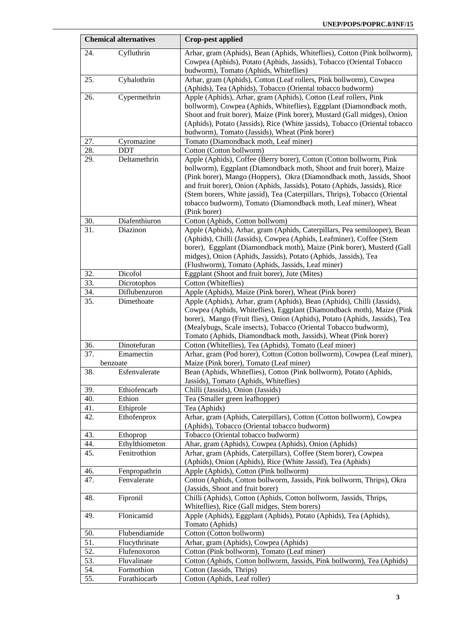| <b>Chemical alternatives</b> |                | <b>Crop-pest applied</b>                                                                                                                                                                                                                                                                                                                                                                                                                                          |  |  |
|------------------------------|----------------|-------------------------------------------------------------------------------------------------------------------------------------------------------------------------------------------------------------------------------------------------------------------------------------------------------------------------------------------------------------------------------------------------------------------------------------------------------------------|--|--|
| 24.                          | Cyfluthrin     | Arhar, gram (Aphids), Bean (Aphids, Whiteflies), Cotton (Pink bollworm),<br>Cowpea (Aphids), Potato (Aphids, Jassids), Tobacco (Oriental Tobacco<br>budworm), Tomato (Aphids, Whiteflies)                                                                                                                                                                                                                                                                         |  |  |
| 25.                          | Cyhalothrin    | Arhar, gram (Aphids), Cotton (Leaf rollers, Pink bollworm), Cowpea<br>(Aphids), Tea (Aphids), Tobacco (Oriental tobacco budworm)                                                                                                                                                                                                                                                                                                                                  |  |  |
| 26.                          | Cypermethrin   | Apple (Aphids), Arhar, gram (Aphids), Cotton (Leaf rollers, Pink<br>bollworm), Cowpea (Aphids, Whiteflies), Eggplant (Diamondback moth,<br>Shoot and fruit borer), Maize (Pink borer), Mustard (Gall midges), Onion<br>(Aphids), Potato (Jassids), Rice (White jassids), Tobacco (Oriental tobacco)<br>budworm), Tomato (Jassids), Wheat (Pink borer)                                                                                                             |  |  |
| 27.                          | Cyromazine     | Tomato (Diamondback moth, Leaf miner)                                                                                                                                                                                                                                                                                                                                                                                                                             |  |  |
| 28.                          | <b>DDT</b>     | Cotton (Cotton bollworm)                                                                                                                                                                                                                                                                                                                                                                                                                                          |  |  |
| 29.                          | Deltamethrin   | Apple (Aphids), Coffee (Berry borer), Cotton (Cotton bollworm, Pink<br>bollworm), Eggplant (Diamondback moth, Shoot and fruit borer), Maize<br>(Pink borer), Mango (Hoppers), Okra (Diamondback moth, Jassids, Shoot<br>and fruit borer), Onion (Aphids, Jassids), Potato (Aphids, Jassids), Rice<br>(Stem borers, White jassid), Tea (Caterpillars, Thrips), Tobacco (Oriental<br>tobacco budworm), Tomato (Diamondback moth, Leaf miner), Wheat<br>(Pink borer) |  |  |
| 30.                          | Diafenthiuron  | Cotton (Aphids, Cotton bollwom)                                                                                                                                                                                                                                                                                                                                                                                                                                   |  |  |
| 31.                          | Diazinon       | Apple (Aphids), Arhar, gram (Aphids, Caterpillars, Pea semilooper), Bean<br>(Aphids), Chilli (Jassids), Cowpea (Aphids, Leafminer), Coffee (Stem<br>borer), Eggplant (Diamondback moth), Maize (Pink borer), Musterd (Gall<br>midges), Onion (Aphids, Jassids), Potato (Aphids, Jassids), Tea<br>(Flushworm), Tomato (Aphids, Jassids, Leaf miner)                                                                                                                |  |  |
| 32.                          | Dicofol        | Eggplant (Shoot and fruit borer), Jute (Mites)                                                                                                                                                                                                                                                                                                                                                                                                                    |  |  |
| 33.                          | Dicrotophos    | Cotton (Whiteflies)                                                                                                                                                                                                                                                                                                                                                                                                                                               |  |  |
| 34.                          | Diflubenzuron  | Apple (Aphids), Maize (Pink borer), Wheat (Pink borer)                                                                                                                                                                                                                                                                                                                                                                                                            |  |  |
| 35.                          | Dimethoate     | Apple (Aphids), Arhar, gram (Aphids), Bean (Aphids), Chilli (Jassids),<br>Cowpea (Aphids, Whiteflies), Eggplant (Diamondback moth), Maize (Pink<br>borer), Mango (Fruit flies), Onion (Aphids), Potato (Aphids, Jassids), Tea<br>(Mealybugs, Scale insects), Tobacco (Oriental Tobacco budworm),<br>Tomato (Aphids, Diamondback moth, Jassids), Wheat (Pink borer)                                                                                                |  |  |
| 36.                          | Dinotefuran    | Cotton (Whiteflies), Tea (Aphids), Tomato (Leaf miner)                                                                                                                                                                                                                                                                                                                                                                                                            |  |  |
| $\overline{37}$ .            | Emamectin      | Arhar, gram (Pod borer), Cotton (Cotton bollworm), Cowpea (Leaf miner),                                                                                                                                                                                                                                                                                                                                                                                           |  |  |
|                              | benzoate       | Maize (Pink borer), Tomato (Leaf miner)                                                                                                                                                                                                                                                                                                                                                                                                                           |  |  |
| 38.                          | Esfenvalerate  | Bean (Aphids, Whiteflies), Cotton (Pink bollworm), Potato (Aphids,<br>Jassids), Tomato (Aphids, Whiteflies)                                                                                                                                                                                                                                                                                                                                                       |  |  |
| 39.                          | Ethiofencarb   | Chilli (Jassids), Onion (Jassids)                                                                                                                                                                                                                                                                                                                                                                                                                                 |  |  |
| 40.                          | Ethion         | Tea (Smaller green leafhopper)                                                                                                                                                                                                                                                                                                                                                                                                                                    |  |  |
| 41.                          | Ethiprole      | Tea (Aphids)                                                                                                                                                                                                                                                                                                                                                                                                                                                      |  |  |
| 42.                          | Ethofenprox    | Arhar, gram (Aphids, Caterpillars), Cotton (Cotton bollworm), Cowpea<br>(Aphids), Tobacco (Oriental tobacco budworm)                                                                                                                                                                                                                                                                                                                                              |  |  |
| 43.                          | Ethoprop       | Tobacco (Oriental tobacco budworm)                                                                                                                                                                                                                                                                                                                                                                                                                                |  |  |
| 44.                          | Ethylthiometon | Ahar, gram (Aphids), Cowpea (Aphids), Onion (Aphids)                                                                                                                                                                                                                                                                                                                                                                                                              |  |  |
| 45.                          | Fenitrothion   | Arhar, gram (Aphids, Caterpillars), Coffee (Stem borer), Cowpea<br>(Aphids), Onion (Aphids), Rice (White Jassid), Tea (Aphids)                                                                                                                                                                                                                                                                                                                                    |  |  |
| 46.                          | Fenpropathrin  | Apple (Aphids), Cotton (Pink bollworm)                                                                                                                                                                                                                                                                                                                                                                                                                            |  |  |
| 47.                          | Fenvalerate    | Cotton (Aphids, Cotton bollworm, Jassids, Pink bollworm, Thrips), Okra<br>(Jassids, Shoot and fruit borer)                                                                                                                                                                                                                                                                                                                                                        |  |  |
| 48.                          | Fipronil       | Chilli (Aphids), Cotton (Aphids, Cotton bollworm, Jassids, Thrips,<br>Whiteflies), Rice (Gall midges, Stem borers)                                                                                                                                                                                                                                                                                                                                                |  |  |
| 49.                          | Flonicamid     | Apple (Aphids), Eggplant (Aphids), Potato (Aphids), Tea (Aphids),<br>Tomato (Aphids)                                                                                                                                                                                                                                                                                                                                                                              |  |  |
| 50.                          | Flubendiamide  | Cotton (Cotton bollworm)                                                                                                                                                                                                                                                                                                                                                                                                                                          |  |  |
| 51.                          | Flucythrinate  | Arhar, gram (Aphids), Cowpea (Aphids)                                                                                                                                                                                                                                                                                                                                                                                                                             |  |  |
| 52.                          | Flufenoxoron   | Cotton (Pink bollworm), Tomato (Leaf miner)                                                                                                                                                                                                                                                                                                                                                                                                                       |  |  |
| 53.                          | Fluvalinate    | Cotton (Aphids, Cotton bollworm, Jassids, Pink bollworm), Tea (Aphids)                                                                                                                                                                                                                                                                                                                                                                                            |  |  |
| 54.                          | Formothion     | Cotton (Jassids, Thrips)                                                                                                                                                                                                                                                                                                                                                                                                                                          |  |  |
| 55.                          | Furathiocarb   | Cotton (Aphids, Leaf roller)                                                                                                                                                                                                                                                                                                                                                                                                                                      |  |  |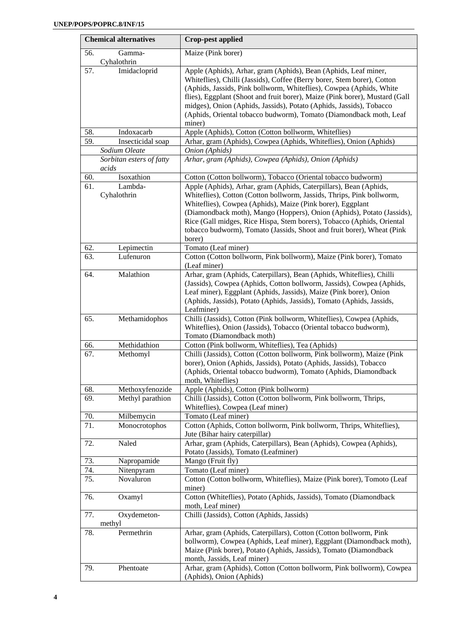| <b>Chemical alternatives</b> |                                   | <b>Crop-pest applied</b>                                                                                                                                                                                                                                                                                                                                                                                                                                |
|------------------------------|-----------------------------------|---------------------------------------------------------------------------------------------------------------------------------------------------------------------------------------------------------------------------------------------------------------------------------------------------------------------------------------------------------------------------------------------------------------------------------------------------------|
| 56.                          | Gamma-<br>Cyhalothrin             | Maize (Pink borer)                                                                                                                                                                                                                                                                                                                                                                                                                                      |
| 57.                          | Imidacloprid                      | Apple (Aphids), Arhar, gram (Aphids), Bean (Aphids, Leaf miner,<br>Whiteflies), Chilli (Jassids), Coffee (Berry borer, Stem borer), Cotton<br>(Aphids, Jassids, Pink bollworm, Whiteflies), Cowpea (Aphids, White<br>flies), Eggplant (Shoot and fruit borer), Maize (Pink borer), Mustard (Gall<br>midges), Onion (Aphids, Jassids), Potato (Aphids, Jassids), Tobacco<br>(Aphids, Oriental tobacco budworm), Tomato (Diamondback moth, Leaf<br>miner) |
| 58.                          | Indoxacarb                        | Apple (Aphids), Cotton (Cotton bollworm, Whiteflies)                                                                                                                                                                                                                                                                                                                                                                                                    |
| 59.                          | Insecticidal soap                 | Arhar, gram (Aphids), Cowpea (Aphids, Whiteflies), Onion (Aphids)                                                                                                                                                                                                                                                                                                                                                                                       |
|                              | Sodium Oleate                     | Onion (Aphids)                                                                                                                                                                                                                                                                                                                                                                                                                                          |
|                              | Sorbitan esters of fatty<br>acids | Arhar, gram (Aphids), Cowpea (Aphids), Onion (Aphids)                                                                                                                                                                                                                                                                                                                                                                                                   |
| 60.                          | Isoxathion                        | Cotton (Cotton bollworm), Tobacco (Oriental tobacco budworm)                                                                                                                                                                                                                                                                                                                                                                                            |
| 61.                          | Lambda-<br>Cyhalothrin            | Apple (Aphids), Arhar, gram (Aphids, Caterpillars), Bean (Aphids,<br>Whiteflies), Cotton (Cotton bollworm, Jassids, Thrips, Pink bollworm,<br>Whiteflies), Cowpea (Aphids), Maize (Pink borer), Eggplant<br>(Diamondback moth), Mango (Hoppers), Onion (Aphids), Potato (Jassids),<br>Rice (Gall midges, Rice Hispa, Stem borers), Tobacco (Aphids, Oriental<br>tobacco budworm), Tomato (Jassids, Shoot and fruit borer), Wheat (Pink<br>borer)        |
| 62.                          | Lepimectin                        | Tomato (Leaf miner)                                                                                                                                                                                                                                                                                                                                                                                                                                     |
| 63.                          | Lufenuron                         | Cotton (Cotton bollworm, Pink bollworm), Maize (Pink borer), Tomato<br>(Leaf miner)                                                                                                                                                                                                                                                                                                                                                                     |
| 64.                          | Malathion                         | Arhar, gram (Aphids, Caterpillars), Bean (Aphids, Whiteflies), Chilli<br>(Jassids), Cowpea (Aphids, Cotton bollworm, Jassids), Cowpea (Aphids,<br>Leaf miner), Eggplant (Aphids, Jassids), Maize (Pink borer), Onion<br>(Aphids, Jassids), Potato (Aphids, Jassids), Tomato (Aphids, Jassids,<br>Leafminer)                                                                                                                                             |
| 65.                          | Methamidophos                     | Chilli (Jassids), Cotton (Pink bollworm, Whiteflies), Cowpea (Aphids,<br>Whiteflies), Onion (Jassids), Tobacco (Oriental tobacco budworm),<br>Tomato (Diamondback moth)                                                                                                                                                                                                                                                                                 |
| 66.                          | Methidathion                      | Cotton (Pink bollworm, Whiteflies), Tea (Aphids)                                                                                                                                                                                                                                                                                                                                                                                                        |
| 67.                          | Methomyl                          | Chilli (Jassids), Cotton (Cotton bollworm, Pink bollworm), Maize (Pink<br>borer), Onion (Aphids, Jassids), Potato (Aphids, Jassids), Tobacco<br>(Aphids, Oriental tobacco budworm), Tomato (Aphids, Diamondback<br>moth, Whiteflies)                                                                                                                                                                                                                    |
| 68.                          | Methoxyfenozide                   | Apple (Aphids), Cotton (Pink bollworm)                                                                                                                                                                                                                                                                                                                                                                                                                  |
| 69.                          | Methyl parathion                  | Chilli (Jassids), Cotton (Cotton bollworm, Pink bollworm, Thrips,<br>Whiteflies), Cowpea (Leaf miner)                                                                                                                                                                                                                                                                                                                                                   |
| 70.                          | Milbemycin                        | Tomato (Leaf miner)                                                                                                                                                                                                                                                                                                                                                                                                                                     |
| 71.                          | Monocrotophos                     | Cotton (Aphids, Cotton bollworm, Pink bollworm, Thrips, Whiteflies),<br>Jute (Bihar hairy caterpillar)                                                                                                                                                                                                                                                                                                                                                  |
| 72.                          | Naled                             | Arhar, gram (Aphids, Caterpillars), Bean (Aphids), Cowpea (Aphids),<br>Potato (Jassids), Tomato (Leafminer)                                                                                                                                                                                                                                                                                                                                             |
| 73.                          | Napropamide                       | Mango (Fruit fly)                                                                                                                                                                                                                                                                                                                                                                                                                                       |
| 74.                          | Nitenpyram                        | Tomato (Leaf miner)                                                                                                                                                                                                                                                                                                                                                                                                                                     |
| 75.                          | Novaluron                         | Cotton (Cotton bollworm, Whiteflies), Maize (Pink borer), Tomoto (Leaf<br>miner)                                                                                                                                                                                                                                                                                                                                                                        |
| 76.                          | Oxamyl                            | Cotton (Whiteflies), Potato (Aphids, Jassids), Tomato (Diamondback<br>moth, Leaf miner)                                                                                                                                                                                                                                                                                                                                                                 |
| 77.                          | Oxydemeton-<br>methyl             | Chilli (Jassids), Cotton (Aphids, Jassids)                                                                                                                                                                                                                                                                                                                                                                                                              |
| 78.                          | Permethrin                        | Arhar, gram (Aphids, Caterpillars), Cotton (Cotton bollworm, Pink<br>bollworm), Cowpea (Aphids, Leaf miner), Eggplant (Diamondback moth),<br>Maize (Pink borer), Potato (Aphids, Jassids), Tomato (Diamondback<br>month, Jassids, Leaf miner)                                                                                                                                                                                                           |
| 79.                          | Phentoate                         | Arhar, gram (Aphids), Cotton (Cotton bollworm, Pink bollworm), Cowpea<br>(Aphids), Onion (Aphids)                                                                                                                                                                                                                                                                                                                                                       |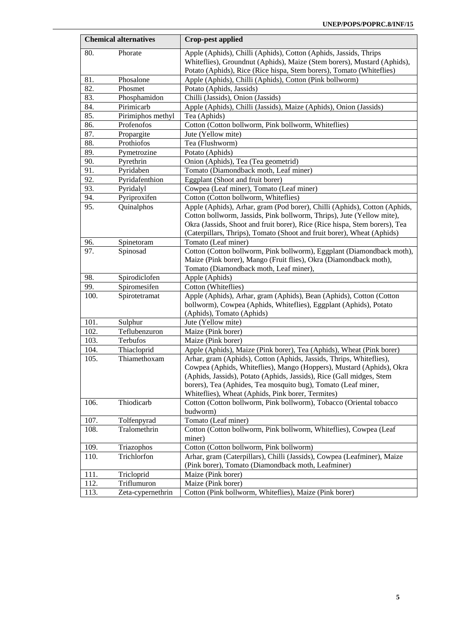| <b>Chemical alternatives</b> |                   | <b>Crop-pest applied</b>                                                                     |  |  |
|------------------------------|-------------------|----------------------------------------------------------------------------------------------|--|--|
| 80.                          | Phorate           | Apple (Aphids), Chilli (Aphids), Cotton (Aphids, Jassids, Thrips                             |  |  |
|                              |                   | Whiteflies), Groundnut (Aphids), Maize (Stem borers), Mustard (Aphids),                      |  |  |
|                              |                   | Potato (Aphids), Rice (Rice hispa, Stem borers), Tomato (Whiteflies)                         |  |  |
| 81.                          | Phosalone         | Apple (Aphids), Chilli (Aphids), Cotton (Pink bollworm)                                      |  |  |
| 82.                          | Phosmet           | Potato (Aphids, Jassids)                                                                     |  |  |
| 83.                          | Phosphamidon      | Chilli (Jassids), Onion (Jassids)                                                            |  |  |
| 84.                          | Pirimicarb        | Apple (Aphids), Chilli (Jassids), Maize (Aphids), Onion (Jassids)                            |  |  |
| 85.                          | Pirimiphos methyl | Tea (Aphids)                                                                                 |  |  |
| 86.                          | Profenofos        | Cotton (Cotton bollworm, Pink bollworm, Whiteflies)                                          |  |  |
| 87.                          | Propargite        | Jute (Yellow mite)                                                                           |  |  |
| 88.                          | Prothiofos        | Tea (Flushworm)                                                                              |  |  |
| 89.                          | Pymetrozine       | Potato (Aphids)                                                                              |  |  |
| 90.                          | Pyrethrin         | Onion (Aphids), Tea (Tea geometrid)                                                          |  |  |
| 91.                          | Pyridaben         | Tomato (Diamondback moth, Leaf miner)                                                        |  |  |
| 92.                          | Pyridafenthion    | Eggplant (Shoot and fruit borer)                                                             |  |  |
| 93.                          | Pyridalyl         | Cowpea (Leaf miner), Tomato (Leaf miner)                                                     |  |  |
| 94.                          | Pyriproxifen      | Cotton (Cotton bollworm, Whiteflies)                                                         |  |  |
| 95.                          | Quinalphos        | Apple (Aphids), Arhar, gram (Pod borer), Chilli (Aphids), Cotton (Aphids,                    |  |  |
|                              |                   | Cotton bollworm, Jassids, Pink bollworm, Thrips), Jute (Yellow mite),                        |  |  |
|                              |                   | Okra (Jassids, Shoot and fruit borer), Rice (Rice hispa, Stem borers), Tea                   |  |  |
|                              |                   | (Caterpillars, Thrips), Tomato (Shoot and fruit borer), Wheat (Aphids)                       |  |  |
| 96.<br>97.                   | Spinetoram        | Tomato (Leaf miner)<br>Cotton (Cotton bollworm, Pink bollworm), Eggplant (Diamondback moth), |  |  |
|                              | Spinosad          | Maize (Pink borer), Mango (Fruit flies), Okra (Diamondback moth),                            |  |  |
|                              |                   | Tomato (Diamondback moth, Leaf miner),                                                       |  |  |
| 98.                          | Spirodiclofen     | Apple (Aphids)                                                                               |  |  |
| 99.                          | Spiromesifen      | Cotton (Whiteflies)                                                                          |  |  |
| 100.                         | Spirotetramat     | Apple (Aphids), Arhar, gram (Aphids), Bean (Aphids), Cotton (Cotton                          |  |  |
|                              |                   | bollworm), Cowpea (Aphids, Whiteflies), Eggplant (Aphids), Potato                            |  |  |
|                              |                   | (Aphids), Tomato (Aphids)                                                                    |  |  |
| 101.                         | Sulphur           | Jute (Yellow mite)                                                                           |  |  |
| 102.                         | Teflubenzuron     | Maize (Pink borer)                                                                           |  |  |
| 103.                         | Terbufos          | Maize (Pink borer)                                                                           |  |  |
| 104.                         | Thiacloprid       | Apple (Aphids), Maize (Pink borer), Tea (Aphids), Wheat (Pink borer)                         |  |  |
| 105.                         | Thiamethoxam      | Arhar, gram (Aphids), Cotton (Aphids, Jassids, Thrips, Whiteflies),                          |  |  |
|                              |                   | Cowpea (Aphids, Whiteflies), Mango (Hoppers), Mustard (Aphids), Okra                         |  |  |
|                              |                   | (Aphids, Jassids), Potato (Aphids, Jassids), Rice (Gall midges, Stem                         |  |  |
|                              |                   | borers), Tea (Aphides, Tea mosquito bug), Tomato (Leaf miner,                                |  |  |
|                              |                   | Whiteflies), Wheat (Aphids, Pink borer, Termites)                                            |  |  |
| 106.                         | Thiodicarb        | Cotton (Cotton bollworm, Pink bollworm), Tobacco (Oriental tobacco                           |  |  |
|                              |                   | budworm)                                                                                     |  |  |
| 107.                         | Tolfenpyrad       | Tomato (Leaf miner)                                                                          |  |  |
| 108.                         | Tralomethrin      | Cotton (Cotton bollworm, Pink bollworm, Whiteflies), Cowpea (Leaf                            |  |  |
|                              |                   | miner)                                                                                       |  |  |
| 109.                         | Triazophos        | Cotton (Cotton bollworm, Pink bollworm)                                                      |  |  |
| 110.                         | Trichlorfon       | Arhar, gram (Caterpillars), Chilli (Jassids), Cowpea (Leafminer), Maize                      |  |  |
|                              |                   | (Pink borer), Tomato (Diamondback moth, Leafminer)                                           |  |  |
| 111.                         | Tricloprid        | Maize (Pink borer)                                                                           |  |  |
| 112.                         | Triflumuron       | Maize (Pink borer)                                                                           |  |  |
| 113.                         | Zeta-cypernethrin | Cotton (Pink bollworm, Whiteflies), Maize (Pink borer)                                       |  |  |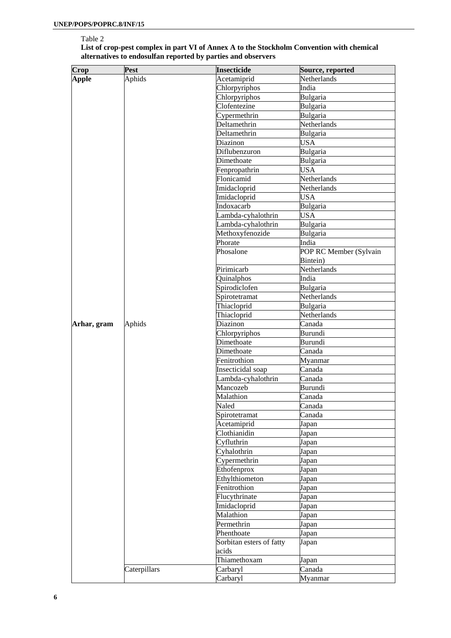#### Table 2

| List of crop-pest complex in part VI of Annex A to the Stockholm Convention with chemical |
|-------------------------------------------------------------------------------------------|
| alternatives to endosulfan reported by parties and observers                              |

| Crop        | Pest         | <b>Insecticide</b>       | Source, reported       |
|-------------|--------------|--------------------------|------------------------|
| Apple       | Aphids       | Acetamiprid              | Netherlands            |
|             |              | Chlorpyriphos            | India                  |
|             |              | Chlorpyriphos            | Bulgaria               |
|             |              | Clofentezine             | Bulgaria               |
|             |              | Cypermethrin             | Bulgaria               |
|             |              | Deltamethrin             | Netherlands            |
|             |              | Deltamethrin             | Bulgaria               |
|             |              | Diazinon                 | <b>USA</b>             |
|             |              | Diflubenzuron            | Bulgaria               |
|             |              | Dimethoate               | Bulgaria               |
|             |              | Fenpropathrin            | <b>USA</b>             |
|             |              | Flonicamid               | Netherlands            |
|             |              | Imidacloprid             | Netherlands            |
|             |              | Imidacloprid             | <b>USA</b>             |
|             |              | Indoxacarb               | Bulgaria               |
|             |              | Lambda-cyhalothrin       | <b>USA</b>             |
|             |              | Lambda-cyhalothrin       | Bulgaria               |
|             |              | Methoxyfenozide          | Bulgaria               |
|             |              | Phorate                  | India                  |
|             |              |                          |                        |
|             |              | Phosalone                | POP RC Member (Sylvain |
|             |              |                          | Bintein)               |
|             |              | Pirimicarb               | Netherlands            |
|             |              | Quinalphos               | India                  |
|             |              | Spirodiclofen            | Bulgaria               |
|             |              | Spirotetramat            | Netherlands            |
|             |              | Thiacloprid              | Bulgaria               |
|             |              | Thiacloprid              | Netherlands            |
| Arhar, gram | Aphids       | Diazinon                 | Canada                 |
|             |              | Chlorpyriphos            | Burundi                |
|             |              | Dimethoate               | Burundi                |
|             |              | Dimethoate               | Canada                 |
|             |              | Fenitrothion             | Myanmar                |
|             |              | Insecticidal soap        | Canada                 |
|             |              | Lambda-cyhalothrin       | Canada                 |
|             |              | Mancozeb                 | Burundi                |
|             |              | Malathion                | Canada                 |
|             |              | Naled                    | Canada                 |
|             |              | Spirotetramat            | Canada                 |
|             |              | Acetamiprid              | Japan                  |
|             |              | Clothianidin             | Japan                  |
|             |              | Cyfluthrin               | Japan                  |
|             |              | Cyhalothrin              | Japan                  |
|             |              | Cypermethrin             | Japan                  |
|             |              | Ethofenprox              | Japan                  |
|             |              | Ethylthiometon           | Japan                  |
|             |              | Fenitrothion             | Japan                  |
|             |              | Flucythrinate            | Japan                  |
|             |              | Imidacloprid             | Japan                  |
|             |              | Malathion                | Japan                  |
|             |              | Permethrin               | Japan                  |
|             |              | Phenthoate               | Japan                  |
|             |              | Sorbitan esters of fatty |                        |
|             |              | acids                    | Japan                  |
|             |              | Thiamethoxam             |                        |
|             | Caterpillars | Carbaryl                 | Japan<br>Canada        |
|             |              |                          |                        |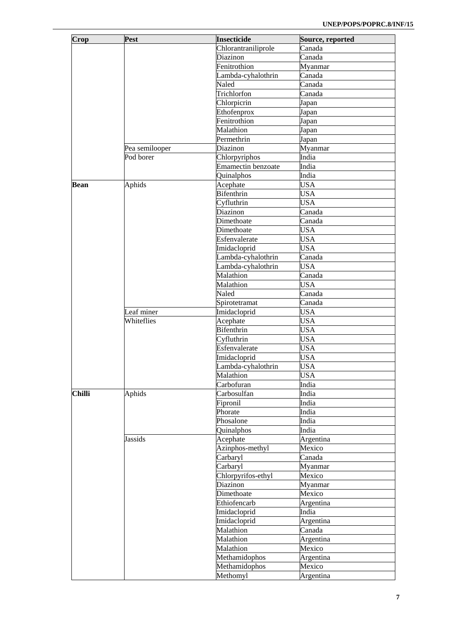|               | Pest           | <b>Insecticide</b>        |                               |
|---------------|----------------|---------------------------|-------------------------------|
| Crop          |                |                           | Source, reported              |
|               |                | Chlorantraniliprole       | Canada                        |
|               |                | Diazinon                  | Canada                        |
|               |                | Fenitrothion              | Myanmar                       |
|               |                | Lambda-cyhalothrin        | Canada                        |
|               |                | Naled                     | Canada                        |
|               |                | Trichlorfon               | $\overline{\mathrm{C}}$ anada |
|               |                | Chlorpicrin               | Japan                         |
|               |                | Ethofenprox               | Japan                         |
|               |                | Fenitrothion              | Japan                         |
|               |                | Malathion                 | Japan                         |
|               |                | Permethrin                | Japan                         |
|               | Pea semilooper | Diazinon                  | Myanmar                       |
|               | Pod borer      | Chlorpyriphos             | India                         |
|               |                | <b>Emamectin benzoate</b> | India                         |
|               |                | Quinalphos                | India                         |
| Bean          | Aphids         | Acephate                  | <b>USA</b>                    |
|               |                | <b>Bifenthrin</b>         | <b>USA</b>                    |
|               |                |                           | <b>USA</b>                    |
|               |                | Cyfluthrin                | Canada                        |
|               |                | Diazinon                  |                               |
|               |                | Dimethoate                | $\overline{\mathrm{C}}$ anada |
|               |                | Dimethoate                | <b>USA</b>                    |
|               |                | Esfenvalerate             | <b>USA</b>                    |
|               |                | Imidacloprid              | <b>USA</b>                    |
|               |                | Lambda-cyhalothrin        | Canada                        |
|               |                | Lambda-cyhalothrin        | <b>USA</b>                    |
|               |                | Malathion                 | $\overline{\mathrm{C}}$ anada |
|               |                | Malathion                 | <b>USA</b>                    |
|               |                | Naled                     | Canada                        |
|               |                | Spirotetramat             | $\overline{\mathrm{C}}$ anada |
|               | Leaf miner     | Imidacloprid              | <b>USA</b>                    |
|               | Whiteflies     | Acephate                  | <b>USA</b>                    |
|               |                | <b>Bifenthrin</b>         | <b>USA</b>                    |
|               |                | Cyfluthrin                | <b>USA</b>                    |
|               |                | Esfenvalerate             | <b>USA</b>                    |
|               |                | Imidacloprid              | <b>USA</b>                    |
|               |                | Lambda-cyhalothrin        | <b>USA</b>                    |
|               |                | Malathion                 | <b>USA</b>                    |
|               |                |                           |                               |
|               |                | Carbofuran                | India                         |
| <b>Chilli</b> | Aphids         | Carbosulfan               | India                         |
|               |                | Fipronil                  | India                         |
|               |                | Phorate                   | India                         |
|               |                | Phosalone                 | India                         |
|               |                | Quinalphos                | India                         |
|               | Jassids        | Acephate                  | Argentina                     |
|               |                | Azinphos-methyl           | Mexico                        |
|               |                | Carbaryl                  | Canada                        |
|               |                | Carbaryl                  | Myanmar                       |
|               |                | Chlorpyrifos-ethyl        | Mexico                        |
|               |                | Diazinon                  | Myanmar                       |
|               |                | Dimethoate                | Mexico                        |
|               |                | Ethiofencarb              | Argentina                     |
|               |                | Imidacloprid              | India                         |
|               |                | Imidacloprid              | Argentina                     |
|               |                | Malathion                 | Canada                        |
|               |                | Malathion                 | Argentina                     |
|               |                | Malathion                 | Mexico                        |
|               |                | Methamidophos             | Argentina                     |
|               |                | Methamidophos             | Mexico                        |
|               |                |                           |                               |
|               |                | Methomyl                  | Argentina                     |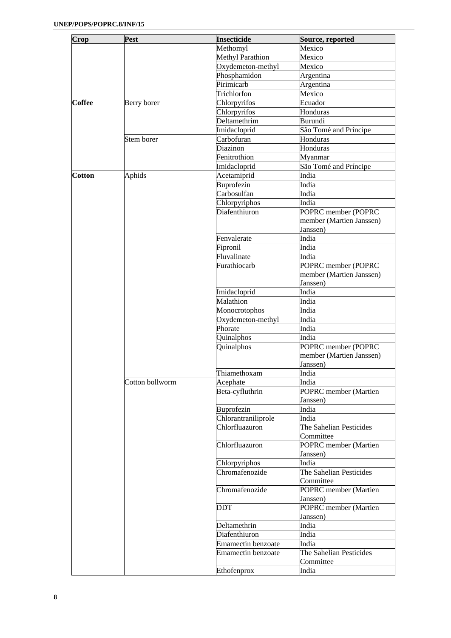| Crop          | Pest            | <b>Insecticide</b>      | Source, reported         |
|---------------|-----------------|-------------------------|--------------------------|
|               |                 | Methomyl                | Mexico                   |
|               |                 | <b>Methyl Parathion</b> | Mexico                   |
|               |                 | Oxydemeton-methyl       | Mexico                   |
|               |                 | Phosphamidon            | Argentina                |
|               |                 | Pirimicarb              | Argentina                |
|               |                 | Trichlorfon             | Mexico                   |
| <b>Coffee</b> | Berry borer     | Chlorpyrifos            | Ecuador                  |
|               |                 | Chlorpyrifos            | Honduras                 |
|               |                 | Deltamethrim            | Burundi                  |
|               |                 | Imidacloprid            | São Tomé and Príncipe    |
|               | Stem borer      | Carbofuran              | Honduras                 |
|               |                 | Diazinon                | Honduras                 |
|               |                 | Fenitrothion            | Myanmar                  |
|               |                 | Imidacloprid            | São Tomé and Príncipe    |
| <b>Cotton</b> | Aphids          | Acetamiprid             | India                    |
|               |                 | Buprofezin              | India                    |
|               |                 | Carbosulfan             | India                    |
|               |                 | Chlorpyriphos           | India                    |
|               |                 | Diafenthiuron           | POPRC member (POPRC      |
|               |                 |                         | member (Martien Janssen) |
|               |                 |                         | Janssen)                 |
|               |                 | Fenvalerate             | India                    |
|               |                 | Fipronil                | India                    |
|               |                 | Fluvalinate             | India                    |
|               |                 | Furathiocarb            | POPRC member (POPRC      |
|               |                 |                         | member (Martien Janssen) |
|               |                 |                         | Janssen)                 |
|               |                 | Imidacloprid            | India                    |
|               |                 | Malathion               | India                    |
|               |                 | Monocrotophos           | India                    |
|               |                 | Oxydemeton-methyl       | India                    |
|               |                 | Phorate                 | India                    |
|               |                 | Quinalphos              | India                    |
|               |                 | Quinalphos              | POPRC member (POPRC      |
|               |                 |                         | member (Martien Janssen) |
|               |                 |                         | Janssen)                 |
|               |                 | Thiamethoxam            | India                    |
|               | Cotton bollworm | Acephate                | India                    |
|               |                 | Beta-cyfluthrin         | POPRC member (Martien    |
|               |                 |                         | Janssen)                 |
|               |                 | Buprofezin              | India                    |
|               |                 | Chlorantraniliprole     | India                    |
|               |                 | Chlorfluazuron          | The Sahelian Pesticides  |
|               |                 |                         | Committee                |
|               |                 | Chlorfluazuron          | POPRC member (Martien    |
|               |                 |                         | Janssen)                 |
|               |                 | Chlorpyriphos           | India                    |
|               |                 | Chromafenozide          | The Sahelian Pesticides  |
|               |                 |                         | Committee                |
|               |                 | Chromafenozide          | POPRC member (Martien    |
|               |                 |                         | Janssen)                 |
|               |                 | <b>DDT</b>              | POPRC member (Martien    |
|               |                 |                         | Janssen)                 |
|               |                 | Deltamethrin            | India                    |
|               |                 | Diafenthiuron           | India                    |
|               |                 | Emamectin benzoate      | India                    |
|               |                 | Emamectin benzoate      | The Sahelian Pesticides  |
|               |                 |                         | Committee                |
|               |                 | Ethofenprox             | India                    |
|               |                 |                         |                          |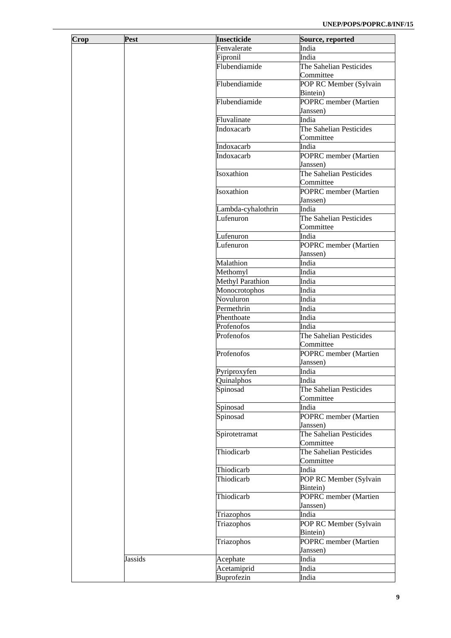| Crop | Pest           | <b>Insecticide</b> | Source, reported        |
|------|----------------|--------------------|-------------------------|
|      |                | Fenvalerate        | India                   |
|      |                | Fipronil           | India                   |
|      |                | Flubendiamide      | The Sahelian Pesticides |
|      |                |                    | Committee               |
|      |                | Flubendiamide      | POP RC Member (Sylvain  |
|      |                |                    | Bintein)                |
|      |                | Flubendiamide      | POPRC member (Martien   |
|      |                |                    | Janssen)                |
|      |                | Fluvalinate        | India                   |
|      |                | Indoxacarb         | The Sahelian Pesticides |
|      |                |                    | Committee               |
|      |                | Indoxacarb         | India                   |
|      |                | Indoxacarb         |                         |
|      |                |                    | POPRC member (Martien   |
|      |                |                    | Janssen)                |
|      |                | Isoxathion         | The Sahelian Pesticides |
|      |                |                    | Committee               |
|      |                | Isoxathion         | POPRC member (Martien   |
|      |                |                    | Janssen)                |
|      |                | Lambda-cyhalothrin | India                   |
|      |                | Lufenuron          | The Sahelian Pesticides |
|      |                |                    | Committee               |
|      |                | Lufenuron          | India                   |
|      |                | Lufenuron          | POPRC member (Martien   |
|      |                |                    | Janssen)                |
|      |                | Malathion          | India                   |
|      |                | Methomyl           | India                   |
|      |                | Methyl Parathion   | India                   |
|      |                | Monocrotophos      | India                   |
|      |                | Novuluron          | India                   |
|      |                | Permethrin         | India                   |
|      |                | Phenthoate         | India                   |
|      |                | Profenofos         | India                   |
|      |                | Profenofos         | The Sahelian Pesticides |
|      |                |                    | Committee               |
|      |                | Profenofos         | POPRC member (Martien   |
|      |                |                    | Janssen)                |
|      |                |                    |                         |
|      |                | Pyriproxyfen       | India                   |
|      |                | Quinalphos         | India                   |
|      |                | Spinosad           | The Sahelian Pesticides |
|      |                |                    | Committee               |
|      |                | Spinosad           | India                   |
|      |                | Spinosad           | POPRC member (Martien   |
|      |                |                    | Janssen)                |
|      |                | Spirotetramat      | The Sahelian Pesticides |
|      |                |                    | Committee               |
|      |                | Thiodicarb         | The Sahelian Pesticides |
|      |                |                    | Committee               |
|      |                | Thiodicarb         | India                   |
|      |                | Thiodicarb         | POP RC Member (Sylvain  |
|      |                |                    | Bintein)                |
|      |                | Thiodicarb         | POPRC member (Martien   |
|      |                |                    | Janssen)                |
|      |                | Triazophos         | India                   |
|      |                | Triazophos         | POP RC Member (Sylvain  |
|      |                |                    | Bintein)                |
|      |                | Triazophos         | POPRC member (Martien   |
|      |                |                    | Janssen)                |
|      | <b>Jassids</b> | Acephate           | India                   |
|      |                | Acetamiprid        | India                   |
|      |                |                    |                         |
|      |                | Buprofezin         | India                   |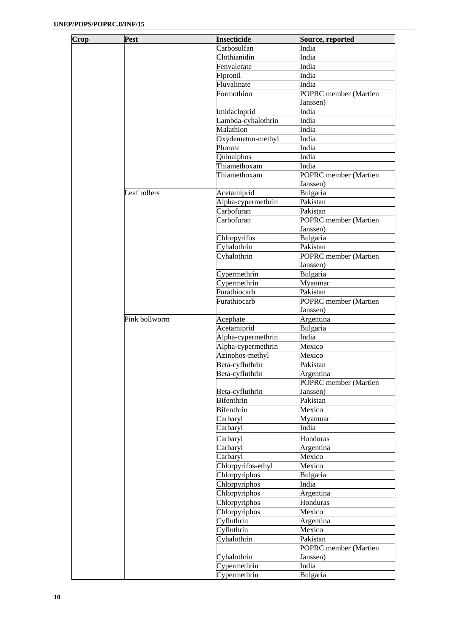| Crop | Pest          | <b>Insecticide</b> | Source, reported             |
|------|---------------|--------------------|------------------------------|
|      |               | Carbosulfan        | India                        |
|      |               | Clothianidin       | India                        |
|      |               | Fenvalerate        | India                        |
|      |               | Fipronil           | India                        |
|      |               | Fluvalinate        | India                        |
|      |               | Formothion         | POPRC member (Martien        |
|      |               |                    | Janssen)                     |
|      |               | Imidacloprid       | India                        |
|      |               | Lambda-cyhalothrin | India                        |
|      |               | Malathion          | India                        |
|      |               | Oxydemeton-methyl  | India                        |
|      |               | Phorate            | India                        |
|      |               | Quinalphos         | India                        |
|      |               | Thiamethoxam       | India                        |
|      |               | Thiamethoxam       | POPRC member (Martien        |
|      |               |                    | Janssen)                     |
|      | Leaf rollers  | Acetamiprid        | Bulgaria                     |
|      |               | Alpha-cypermethrin | Pakistan                     |
|      |               | Carbofuran         | Pakistan                     |
|      |               | Carbofuran         | POPRC member (Martien        |
|      |               |                    | Janssen)                     |
|      |               | Chlorpyrifos       | Bulgaria                     |
|      |               | Cyhalothrin        | Pakistan                     |
|      |               | Cyhalothrin        | POPRC member (Martien        |
|      |               |                    | Janssen)                     |
|      |               | Cypermethrin       | Bulgaria                     |
|      |               | Cypermethrin       | Myanmar                      |
|      |               | Furathiocarb       | Pakistan                     |
|      |               | Furathiocarb       | POPRC member (Martien        |
|      |               |                    | Janssen)                     |
|      | Pink bollworm | Acephate           | Argentina                    |
|      |               | Acetamiprid        | Bulgaria                     |
|      |               | Alpha-cypermethrin | India                        |
|      |               | Alpha-cypermethrin | Mexico                       |
|      |               | Azinphos-methyl    | Mexico                       |
|      |               | Beta-cyfluthrin    | Pakistan                     |
|      |               | Beta-cyfluthrin    | Argentina                    |
|      |               |                    | <b>POPRC</b> member (Martien |
|      |               | Beta-cyfluthrin    | Janssen)                     |
|      |               | <b>Bifenthrin</b>  | Pakistan                     |
|      |               | Bifenthrin         | Mexico                       |
|      |               | Carbaryl           | Myanmar                      |
|      |               | Carbaryl           | India                        |
|      |               | Carbaryl           | Honduras                     |
|      |               | Carbaryl           | Argentina                    |
|      |               | Carbaryl           | Mexico                       |
|      |               | Chlorpyrifos-ethyl | Mexico                       |
|      |               | Chlorpyriphos      | Bulgaria                     |
|      |               | Chlorpyriphos      | India                        |
|      |               | Chlorpyriphos      | Argentina                    |
|      |               | Chlorpyriphos      | Honduras                     |
|      |               | Chlorpyriphos      | Mexico                       |
|      |               | Cyfluthrin         | Argentina                    |
|      |               | Cyfluthrin         | Mexico                       |
|      |               | Cyhalothrin        | Pakistan                     |
|      |               |                    | POPRC member (Martien        |
|      |               | Cyhalothrin        | Janssen)                     |
|      |               | Cypermethrin       | India                        |
|      |               | Cypermethrin       | Bulgaria                     |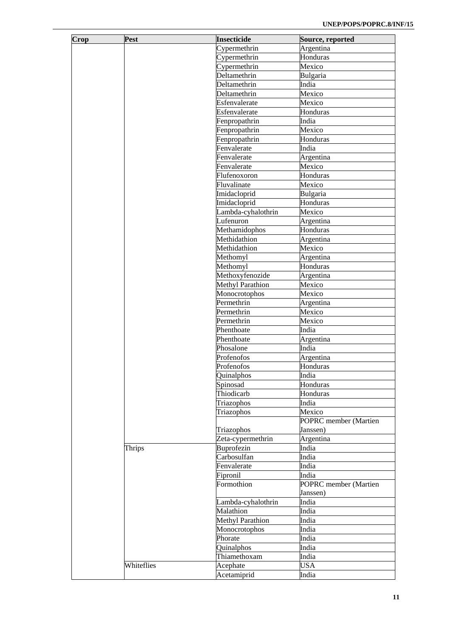| Crop | <b>Pest</b> | <b>Insecticide</b>      | Source, reported      |
|------|-------------|-------------------------|-----------------------|
|      |             | Cypermethrin            | Argentina             |
|      |             | Cypermethrin            | Honduras              |
|      |             | Cypermethrin            | Mexico                |
|      |             | Deltamethrin            | Bulgaria              |
|      |             | Deltamethrin            | India                 |
|      |             | Deltamethrin            | Mexico                |
|      |             | Esfenvalerate           |                       |
|      |             |                         | Mexico                |
|      |             | Esfenvalerate           | Honduras              |
|      |             | Fenpropathrin           | India                 |
|      |             | Fenpropathrin           | Mexico                |
|      |             | Fenpropathrin           | Honduras              |
|      |             | Fenvalerate             | India                 |
|      |             | Fenvalerate             | Argentina             |
|      |             | Fenvalerate             | Mexico                |
|      |             | Flufenoxoron            | Honduras              |
|      |             | Fluvalinate             | Mexico                |
|      |             | Imidacloprid            | Bulgaria              |
|      |             | Imidacloprid            | Honduras              |
|      |             | Lambda-cyhalothrin      | Mexico                |
|      |             | Lufenuron               | Argentina             |
|      |             | Methamidophos           | Honduras              |
|      |             | Methidathion            | Argentina             |
|      |             | Methidathion            | Mexico                |
|      |             | Methomyl                | Argentina             |
|      |             | Methomyl                | Honduras              |
|      |             | Methoxyfenozide         | Argentina             |
|      |             | <b>Methyl Parathion</b> | Mexico                |
|      |             | Monocrotophos           | Mexico                |
|      |             | Permethrin              | Argentina             |
|      |             | Permethrin              | Mexico                |
|      |             | Permethrin              | Mexico                |
|      |             | Phenthoate              | India                 |
|      |             | Phenthoate              | Argentina             |
|      |             | Phosalone               | India                 |
|      |             | Profenofos              | Argentina             |
|      |             | Profenofos              | Honduras              |
|      |             | Quinalphos              | India                 |
|      |             | Spinosad                | Honduras              |
|      |             | Thiodicarb              | Honduras              |
|      |             | Triazophos              | India                 |
|      |             | Triazophos              | Mexico                |
|      |             |                         | POPRC member (Martien |
|      |             | Triazophos              | Janssen)              |
|      |             | Zeta-cypermethrin       | Argentina             |
|      | Thrips      | Buprofezin              | India                 |
|      |             | Carbosulfan             | India                 |
|      |             | Fenvalerate             | India                 |
|      |             | Fipronil                | India                 |
|      |             | Formothion              | POPRC member (Martien |
|      |             |                         | Janssen)              |
|      |             | Lambda-cyhalothrin      | India                 |
|      |             | Malathion               | India                 |
|      |             | <b>Methyl Parathion</b> | India                 |
|      |             | Monocrotophos           | India                 |
|      |             | Phorate                 | India                 |
|      |             | Quinalphos              | India                 |
|      |             | Thiamethoxam            | India                 |
|      | Whiteflies  | Acephate                | <b>USA</b>            |
|      |             | Acetamiprid             | India                 |
|      |             |                         |                       |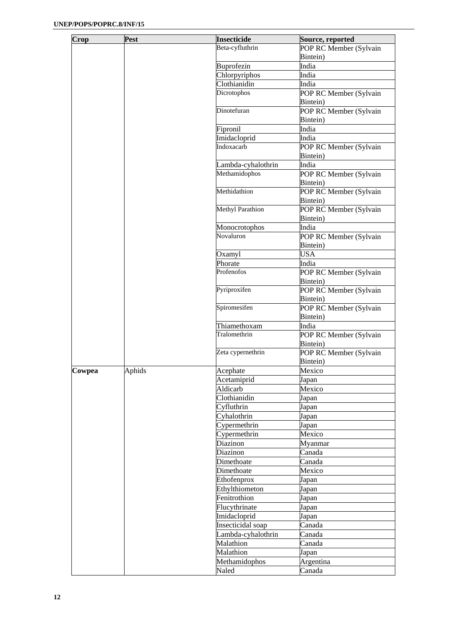| Crop   | Pest   | <b>Insecticide</b>         | Source, reported       |
|--------|--------|----------------------------|------------------------|
|        |        | Beta-cyfluthrin            | POP RC Member (Sylvain |
|        |        |                            | Bintein)               |
|        |        | Buprofezin                 | India                  |
|        |        | Chlorpyriphos              | India                  |
|        |        | Clothianidin               | India                  |
|        |        | Dicrotophos                | POP RC Member (Sylvain |
|        |        |                            | Bintein)               |
|        |        | Dinotefuran                | POP RC Member (Sylvain |
|        |        |                            | Bintein)               |
|        |        | Fipronil                   | India                  |
|        |        |                            |                        |
|        |        | Imidacloprid<br>Indoxacarb | India                  |
|        |        |                            | POP RC Member (Sylvain |
|        |        |                            | Bintein)               |
|        |        | Lambda-cyhalothrin         | India                  |
|        |        | Methamidophos              | POP RC Member (Sylvain |
|        |        |                            | Bintein)               |
|        |        | Methidathion               | POP RC Member (Sylvain |
|        |        |                            | Bintein)               |
|        |        | Methyl Parathion           | POP RC Member (Sylvain |
|        |        |                            | Bintein)               |
|        |        | Monocrotophos              | India                  |
|        |        | Novaluron                  | POP RC Member (Sylvain |
|        |        |                            | Bintein)               |
|        |        | Oxamyl                     | <b>USA</b>             |
|        |        | Phorate                    | India                  |
|        |        | Profenofos                 | POP RC Member (Sylvain |
|        |        |                            | Bintein)               |
|        |        | Pyriproxifen               | POP RC Member (Sylvain |
|        |        |                            | Bintein)               |
|        |        | Spiromesifen               | POP RC Member (Sylvain |
|        |        |                            | Bintein)               |
|        |        | Thiamethoxam               | India                  |
|        |        | Tralomethrin               |                        |
|        |        |                            | POP RC Member (Sylvain |
|        |        |                            | Bintein)               |
|        |        | Zeta cypernethrin          | POP RC Member (Sylvain |
|        |        |                            | Bintein)               |
| Cowpea | Aphids | Acephate                   | Mexico                 |
|        |        | Acetamiprid                | Japan                  |
|        |        | Aldicarb                   | Mexico                 |
|        |        | Clothianidin               | Japan                  |
|        |        | Cyfluthrin                 | Japan                  |
|        |        | Cyhalothrin                | Japan                  |
|        |        | Cypermethrin               | Japan                  |
|        |        | Cypermethrin               | Mexico                 |
|        |        | Diazinon                   | Myanmar                |
|        |        | Diazinon                   | Canada                 |
|        |        | Dimethoate                 | Canada                 |
|        |        | Dimethoate                 | Mexico                 |
|        |        |                            |                        |
|        |        | Ethofenprox                | Japan                  |
|        |        | Ethylthiometon             | Japan                  |
|        |        | Fenitrothion               | Japan                  |
|        |        | Flucythrinate              | Japan                  |
|        |        | Imidacloprid               | Japan                  |
|        |        | Insecticidal soap          | Canada                 |
|        |        | Lambda-cyhalothrin         | Canada                 |
|        |        | Malathion                  | Canada                 |
|        |        | Malathion                  | Japan                  |
|        |        | Methamidophos              | Argentina              |
|        |        | Naled                      | Canada                 |
|        |        |                            |                        |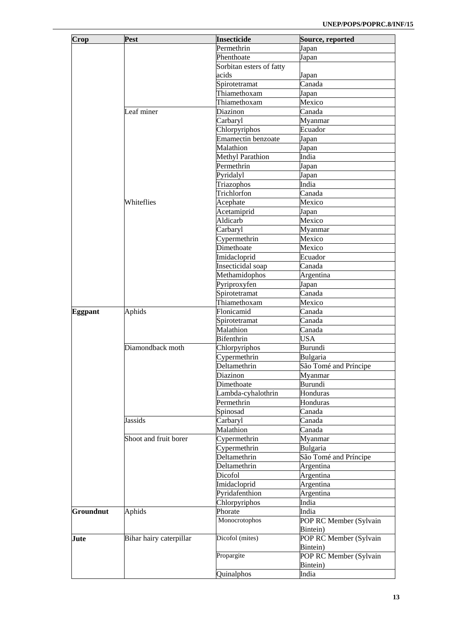| Crop           | Pest                    | <b>Insecticide</b>        | Source, reported       |
|----------------|-------------------------|---------------------------|------------------------|
|                |                         | Permethrin                | Japan                  |
|                |                         | Phenthoate                | Japan                  |
|                |                         | Sorbitan esters of fatty  |                        |
|                |                         | acids                     | Japan                  |
|                |                         | Spirotetramat             | Canada                 |
|                |                         | Thiamethoxam              | Japan                  |
|                |                         | Thiamethoxam              | Mexico                 |
|                | Leaf miner              | Diazinon                  | Canada                 |
|                |                         | Carbaryl                  | Myanmar                |
|                |                         | Chlorpyriphos             | Ecuador                |
|                |                         | Emamectin benzoate        | Japan                  |
|                |                         | Malathion                 | Japan                  |
|                |                         | <b>Methyl Parathion</b>   | India                  |
|                |                         | Permethrin                |                        |
|                |                         |                           | Japan                  |
|                |                         | Pyridalyl                 | Japan<br>India         |
|                |                         | Triazophos<br>Trichlorfon |                        |
|                |                         |                           | Canada                 |
|                | Whiteflies              | Acephate                  | Mexico                 |
|                |                         | Acetamiprid               | Japan                  |
|                |                         | Aldicarb                  | Mexico                 |
|                |                         | Carbaryl                  | Myanmar                |
|                |                         | Cypermethrin              | Mexico                 |
|                |                         | Dimethoate                | Mexico                 |
|                |                         | Imidacloprid              | Ecuador                |
|                |                         | Insecticidal soap         | Canada                 |
|                |                         | Methamidophos             | Argentina              |
|                |                         | Pyriproxyfen              | Japan                  |
|                |                         | Spirotetramat             | Canada                 |
|                |                         | Thiamethoxam              | Mexico                 |
| <b>Eggpant</b> | Aphids                  | Flonicamid                | Canada                 |
|                |                         | Spirotetramat             | Canada                 |
|                |                         | Malathion                 | Canada                 |
|                |                         | <b>Bifenthrin</b>         | <b>USA</b>             |
|                | Diamondback moth        | Chlorpyriphos             | Burundi                |
|                |                         | Cypermethrin              | Bulgaria               |
|                |                         | Deltamethrin              | São Tomé and Príncipe  |
|                |                         | Diazinon                  | Myanmar                |
|                |                         | Dimethoate                | Burundi                |
|                |                         | Lambda-cyhalothrin        | Honduras               |
|                |                         | Permethrin                | Honduras               |
|                |                         | Spinosad                  | Canada                 |
|                | Jassids                 | Carbaryl                  | Canada                 |
|                |                         | Malathion                 | Canada                 |
|                | Shoot and fruit borer   | Cypermethrin              | Myanmar                |
|                |                         | Cypermethrin              | Bulgaria               |
|                |                         | Deltamethrin              | São Tomé and Príncipe  |
|                |                         | Deltamethrin              | Argentina              |
|                |                         | Dicofol                   | Argentina              |
|                |                         | Imidacloprid              | Argentina              |
|                |                         | Pyridafenthion            | Argentina              |
|                |                         | Chlorpyriphos             | India                  |
| Groundnut      | Aphids                  | Phorate                   | India                  |
|                |                         | Monocrotophos             | POP RC Member (Sylvain |
|                |                         |                           | Bintein)               |
| Jute           | Bihar hairy caterpillar | Dicofol (mites)           | POP RC Member (Sylvain |
|                |                         |                           | Bintein)               |
|                |                         | Propargite                | POP RC Member (Sylvain |
|                |                         |                           | Bintein)               |
|                |                         | Quinalphos                | India                  |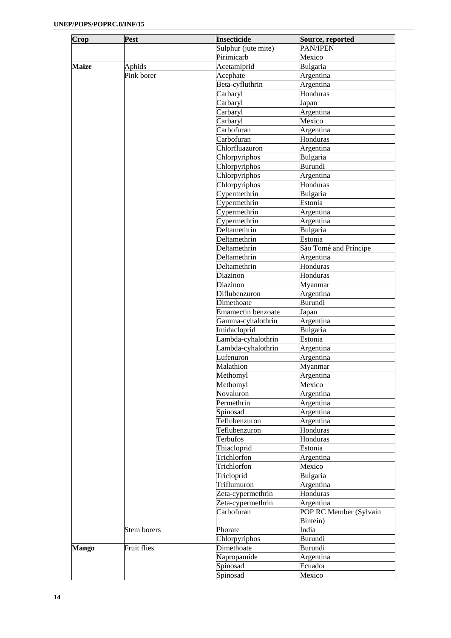| Crop         | Pest               | <b>Insecticide</b>  | Source, reported       |
|--------------|--------------------|---------------------|------------------------|
|              |                    | Sulphur (jute mite) | PAN/IPEN               |
|              |                    | Pirimicarb          | Mexico                 |
| <b>Maize</b> | Aphids             | Acetamiprid         | Bulgaria               |
|              | Pink borer         | Acephate            | Argentina              |
|              |                    | Beta-cyfluthrin     | Argentina              |
|              |                    | Carbaryl            | Honduras               |
|              |                    | Carbaryl            | Japan                  |
|              |                    | Carbaryl            | Argentina              |
|              |                    | Carbaryl            | Mexico                 |
|              |                    | Carbofuran          | Argentina              |
|              |                    | Carbofuran          | Honduras               |
|              |                    | Chlorfluazuron      | Argentina              |
|              |                    | Chlorpyriphos       | Bulgaria               |
|              |                    | Chlorpyriphos       | Burundi                |
|              |                    | Chlorpyriphos       | Argentina              |
|              |                    | Chlorpyriphos       | Honduras               |
|              |                    | Cypermethrin        | Bulgaria               |
|              |                    | Cypermethrin        | Estonia                |
|              |                    | Cypermethrin        | Argentina              |
|              |                    | Cypermethrin        | Argentina              |
|              |                    | Deltamethrin        | Bulgaria               |
|              |                    | Deltamethrin        | Estonia                |
|              |                    | Deltamethrin        | São Tomé and Príncipe  |
|              |                    | Deltamethrin        | Argentina              |
|              |                    | Deltamethrin        | Honduras               |
|              |                    | Diazinon            | Honduras               |
|              |                    | Diazinon            | Myanmar                |
|              |                    | Diflubenzuron       | Argentina              |
|              |                    | Dimethoate          | Burundi                |
|              |                    | Emamectin benzoate  | Japan                  |
|              |                    | Gamma-cyhalothrin   | Argentina              |
|              |                    | Imidacloprid        | Bulgaria               |
|              |                    | Lambda-cyhalothrin  | Estonia                |
|              |                    | Lambda-cyhalothrin  | Argentina              |
|              |                    | Lufenuron           | Argentina              |
|              |                    | Malathion           | Myanmar                |
|              |                    | Methomyl            | Argentina              |
|              |                    | Methomyl            | Mexico                 |
|              |                    | Novaluron           | Argentina              |
|              |                    | Permethrin          | Argentina              |
|              |                    | Spinosad            | Argentina              |
|              |                    | Teflubenzuron       | Argentina              |
|              |                    | Teflubenzuron       | Honduras               |
|              |                    | Terbufos            | Honduras               |
|              |                    | Thiacloprid         | Estonia                |
|              |                    | Trichlorfon         | Argentina              |
|              |                    | Trichlorfon         | Mexico                 |
|              |                    | Tricloprid          | Bulgaria               |
|              |                    | Triflumuron         | Argentina              |
|              |                    | Zeta-cypermethrin   | Honduras               |
|              |                    | Zeta-cypermethrin   | Argentina              |
|              |                    | Carbofuran          | POP RC Member (Sylvain |
|              |                    |                     | Bintein)               |
|              | Stem borers        | Phorate             | India                  |
|              |                    | Chlorpyriphos       | Burundi                |
| <b>Mango</b> | <b>Fruit flies</b> | Dimethoate          | Burundi                |
|              |                    | Napropamide         | Argentina              |
|              |                    | Spinosad            | Ecuador                |
|              |                    | Spinosad            | Mexico                 |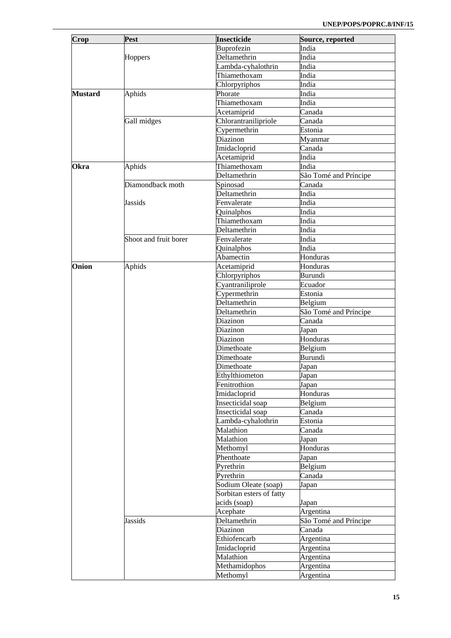| Buprofezin<br>India<br>Deltamethrin<br>India<br>Hoppers<br>Lambda-cyhalothrin<br>India<br>Thiamethoxam<br>India<br>Chlorpyriphos<br>India<br>Aphids<br><b>Mustard</b><br>Phorate<br>India<br>Thiamethoxam<br>India<br>Acetamiprid<br>Canada<br>Gall midges<br>Chlorantranilipriole<br>Canada<br>Cypermethrin<br>Estonia<br>Diazinon<br>Myanmar<br>Imidacloprid<br>Canada<br>Acetamiprid<br>India<br>Aphids<br>Thiamethoxam<br><b>Okra</b><br>India<br>São Tomé and Príncipe<br>Deltamethrin<br>Diamondback moth<br>Spinosad<br>Canada<br>Deltamethrin<br>India<br><b>Jassids</b><br>Fenvalerate<br>India<br>Quinalphos<br>India<br>Thiamethoxam<br>India<br>Deltamethrin<br>India<br>Shoot and fruit borer<br>Fenvalerate<br>India<br>Quinalphos<br>India<br>Abamectin<br>Honduras<br>Aphids<br>Onion<br>Acetamiprid<br>Honduras<br>Chlorpyriphos<br>Burundi<br>Cyantraniliprole<br>Ecuador<br>Cypermethrin<br>Estonia<br>Deltamethrin<br>Belgium<br>São Tomé and Príncipe<br>Deltamethrin<br>Canada<br>Diazinon<br>Diazinon<br>Japan<br>Honduras<br>Diazinon<br>Dimethoate<br>Belgium<br>Burundi<br>Dimethoate<br>Dimethoate<br>Japan<br>Ethylthiometon<br>Japan<br>Fenitrothion<br>Japan<br>Imidacloprid<br>Honduras<br>Insecticidal soap<br>Belgium<br>Canada<br>Insecticidal soap<br>Lambda-cyhalothrin<br>Estonia<br>Malathion<br>Canada<br>Malathion<br>Japan<br>Methomyl<br>Honduras<br>Phenthoate<br>Japan<br>Belgium<br>Pyrethrin<br>Pyrethrin<br>Canada<br>Sodium Oleate (soap)<br>Japan<br>Sorbitan esters of fatty<br>acids (soap)<br>Japan<br>Argentina<br>Acephate<br>Deltamethrin<br>São Tomé and Príncipe<br><b>Jassids</b><br>Canada<br>Diazinon<br>Ethiofencarb<br>Argentina<br>Argentina<br>Imidacloprid<br>Malathion<br>Argentina<br>Methamidophos<br>Argentina | Crop | Pest | <b>Insecticide</b> | Source, reported |
|-------------------------------------------------------------------------------------------------------------------------------------------------------------------------------------------------------------------------------------------------------------------------------------------------------------------------------------------------------------------------------------------------------------------------------------------------------------------------------------------------------------------------------------------------------------------------------------------------------------------------------------------------------------------------------------------------------------------------------------------------------------------------------------------------------------------------------------------------------------------------------------------------------------------------------------------------------------------------------------------------------------------------------------------------------------------------------------------------------------------------------------------------------------------------------------------------------------------------------------------------------------------------------------------------------------------------------------------------------------------------------------------------------------------------------------------------------------------------------------------------------------------------------------------------------------------------------------------------------------------------------------------------------------------------------------------------------------------------------------------------------------------------------------|------|------|--------------------|------------------|
|                                                                                                                                                                                                                                                                                                                                                                                                                                                                                                                                                                                                                                                                                                                                                                                                                                                                                                                                                                                                                                                                                                                                                                                                                                                                                                                                                                                                                                                                                                                                                                                                                                                                                                                                                                                     |      |      |                    |                  |
|                                                                                                                                                                                                                                                                                                                                                                                                                                                                                                                                                                                                                                                                                                                                                                                                                                                                                                                                                                                                                                                                                                                                                                                                                                                                                                                                                                                                                                                                                                                                                                                                                                                                                                                                                                                     |      |      |                    |                  |
|                                                                                                                                                                                                                                                                                                                                                                                                                                                                                                                                                                                                                                                                                                                                                                                                                                                                                                                                                                                                                                                                                                                                                                                                                                                                                                                                                                                                                                                                                                                                                                                                                                                                                                                                                                                     |      |      |                    |                  |
|                                                                                                                                                                                                                                                                                                                                                                                                                                                                                                                                                                                                                                                                                                                                                                                                                                                                                                                                                                                                                                                                                                                                                                                                                                                                                                                                                                                                                                                                                                                                                                                                                                                                                                                                                                                     |      |      |                    |                  |
|                                                                                                                                                                                                                                                                                                                                                                                                                                                                                                                                                                                                                                                                                                                                                                                                                                                                                                                                                                                                                                                                                                                                                                                                                                                                                                                                                                                                                                                                                                                                                                                                                                                                                                                                                                                     |      |      |                    |                  |
|                                                                                                                                                                                                                                                                                                                                                                                                                                                                                                                                                                                                                                                                                                                                                                                                                                                                                                                                                                                                                                                                                                                                                                                                                                                                                                                                                                                                                                                                                                                                                                                                                                                                                                                                                                                     |      |      |                    |                  |
|                                                                                                                                                                                                                                                                                                                                                                                                                                                                                                                                                                                                                                                                                                                                                                                                                                                                                                                                                                                                                                                                                                                                                                                                                                                                                                                                                                                                                                                                                                                                                                                                                                                                                                                                                                                     |      |      |                    |                  |
|                                                                                                                                                                                                                                                                                                                                                                                                                                                                                                                                                                                                                                                                                                                                                                                                                                                                                                                                                                                                                                                                                                                                                                                                                                                                                                                                                                                                                                                                                                                                                                                                                                                                                                                                                                                     |      |      |                    |                  |
|                                                                                                                                                                                                                                                                                                                                                                                                                                                                                                                                                                                                                                                                                                                                                                                                                                                                                                                                                                                                                                                                                                                                                                                                                                                                                                                                                                                                                                                                                                                                                                                                                                                                                                                                                                                     |      |      |                    |                  |
|                                                                                                                                                                                                                                                                                                                                                                                                                                                                                                                                                                                                                                                                                                                                                                                                                                                                                                                                                                                                                                                                                                                                                                                                                                                                                                                                                                                                                                                                                                                                                                                                                                                                                                                                                                                     |      |      |                    |                  |
|                                                                                                                                                                                                                                                                                                                                                                                                                                                                                                                                                                                                                                                                                                                                                                                                                                                                                                                                                                                                                                                                                                                                                                                                                                                                                                                                                                                                                                                                                                                                                                                                                                                                                                                                                                                     |      |      |                    |                  |
|                                                                                                                                                                                                                                                                                                                                                                                                                                                                                                                                                                                                                                                                                                                                                                                                                                                                                                                                                                                                                                                                                                                                                                                                                                                                                                                                                                                                                                                                                                                                                                                                                                                                                                                                                                                     |      |      |                    |                  |
|                                                                                                                                                                                                                                                                                                                                                                                                                                                                                                                                                                                                                                                                                                                                                                                                                                                                                                                                                                                                                                                                                                                                                                                                                                                                                                                                                                                                                                                                                                                                                                                                                                                                                                                                                                                     |      |      |                    |                  |
|                                                                                                                                                                                                                                                                                                                                                                                                                                                                                                                                                                                                                                                                                                                                                                                                                                                                                                                                                                                                                                                                                                                                                                                                                                                                                                                                                                                                                                                                                                                                                                                                                                                                                                                                                                                     |      |      |                    |                  |
|                                                                                                                                                                                                                                                                                                                                                                                                                                                                                                                                                                                                                                                                                                                                                                                                                                                                                                                                                                                                                                                                                                                                                                                                                                                                                                                                                                                                                                                                                                                                                                                                                                                                                                                                                                                     |      |      |                    |                  |
|                                                                                                                                                                                                                                                                                                                                                                                                                                                                                                                                                                                                                                                                                                                                                                                                                                                                                                                                                                                                                                                                                                                                                                                                                                                                                                                                                                                                                                                                                                                                                                                                                                                                                                                                                                                     |      |      |                    |                  |
|                                                                                                                                                                                                                                                                                                                                                                                                                                                                                                                                                                                                                                                                                                                                                                                                                                                                                                                                                                                                                                                                                                                                                                                                                                                                                                                                                                                                                                                                                                                                                                                                                                                                                                                                                                                     |      |      |                    |                  |
|                                                                                                                                                                                                                                                                                                                                                                                                                                                                                                                                                                                                                                                                                                                                                                                                                                                                                                                                                                                                                                                                                                                                                                                                                                                                                                                                                                                                                                                                                                                                                                                                                                                                                                                                                                                     |      |      |                    |                  |
|                                                                                                                                                                                                                                                                                                                                                                                                                                                                                                                                                                                                                                                                                                                                                                                                                                                                                                                                                                                                                                                                                                                                                                                                                                                                                                                                                                                                                                                                                                                                                                                                                                                                                                                                                                                     |      |      |                    |                  |
|                                                                                                                                                                                                                                                                                                                                                                                                                                                                                                                                                                                                                                                                                                                                                                                                                                                                                                                                                                                                                                                                                                                                                                                                                                                                                                                                                                                                                                                                                                                                                                                                                                                                                                                                                                                     |      |      |                    |                  |
|                                                                                                                                                                                                                                                                                                                                                                                                                                                                                                                                                                                                                                                                                                                                                                                                                                                                                                                                                                                                                                                                                                                                                                                                                                                                                                                                                                                                                                                                                                                                                                                                                                                                                                                                                                                     |      |      |                    |                  |
|                                                                                                                                                                                                                                                                                                                                                                                                                                                                                                                                                                                                                                                                                                                                                                                                                                                                                                                                                                                                                                                                                                                                                                                                                                                                                                                                                                                                                                                                                                                                                                                                                                                                                                                                                                                     |      |      |                    |                  |
|                                                                                                                                                                                                                                                                                                                                                                                                                                                                                                                                                                                                                                                                                                                                                                                                                                                                                                                                                                                                                                                                                                                                                                                                                                                                                                                                                                                                                                                                                                                                                                                                                                                                                                                                                                                     |      |      |                    |                  |
|                                                                                                                                                                                                                                                                                                                                                                                                                                                                                                                                                                                                                                                                                                                                                                                                                                                                                                                                                                                                                                                                                                                                                                                                                                                                                                                                                                                                                                                                                                                                                                                                                                                                                                                                                                                     |      |      |                    |                  |
|                                                                                                                                                                                                                                                                                                                                                                                                                                                                                                                                                                                                                                                                                                                                                                                                                                                                                                                                                                                                                                                                                                                                                                                                                                                                                                                                                                                                                                                                                                                                                                                                                                                                                                                                                                                     |      |      |                    |                  |
|                                                                                                                                                                                                                                                                                                                                                                                                                                                                                                                                                                                                                                                                                                                                                                                                                                                                                                                                                                                                                                                                                                                                                                                                                                                                                                                                                                                                                                                                                                                                                                                                                                                                                                                                                                                     |      |      |                    |                  |
|                                                                                                                                                                                                                                                                                                                                                                                                                                                                                                                                                                                                                                                                                                                                                                                                                                                                                                                                                                                                                                                                                                                                                                                                                                                                                                                                                                                                                                                                                                                                                                                                                                                                                                                                                                                     |      |      |                    |                  |
|                                                                                                                                                                                                                                                                                                                                                                                                                                                                                                                                                                                                                                                                                                                                                                                                                                                                                                                                                                                                                                                                                                                                                                                                                                                                                                                                                                                                                                                                                                                                                                                                                                                                                                                                                                                     |      |      |                    |                  |
|                                                                                                                                                                                                                                                                                                                                                                                                                                                                                                                                                                                                                                                                                                                                                                                                                                                                                                                                                                                                                                                                                                                                                                                                                                                                                                                                                                                                                                                                                                                                                                                                                                                                                                                                                                                     |      |      |                    |                  |
|                                                                                                                                                                                                                                                                                                                                                                                                                                                                                                                                                                                                                                                                                                                                                                                                                                                                                                                                                                                                                                                                                                                                                                                                                                                                                                                                                                                                                                                                                                                                                                                                                                                                                                                                                                                     |      |      |                    |                  |
|                                                                                                                                                                                                                                                                                                                                                                                                                                                                                                                                                                                                                                                                                                                                                                                                                                                                                                                                                                                                                                                                                                                                                                                                                                                                                                                                                                                                                                                                                                                                                                                                                                                                                                                                                                                     |      |      |                    |                  |
|                                                                                                                                                                                                                                                                                                                                                                                                                                                                                                                                                                                                                                                                                                                                                                                                                                                                                                                                                                                                                                                                                                                                                                                                                                                                                                                                                                                                                                                                                                                                                                                                                                                                                                                                                                                     |      |      |                    |                  |
|                                                                                                                                                                                                                                                                                                                                                                                                                                                                                                                                                                                                                                                                                                                                                                                                                                                                                                                                                                                                                                                                                                                                                                                                                                                                                                                                                                                                                                                                                                                                                                                                                                                                                                                                                                                     |      |      |                    |                  |
|                                                                                                                                                                                                                                                                                                                                                                                                                                                                                                                                                                                                                                                                                                                                                                                                                                                                                                                                                                                                                                                                                                                                                                                                                                                                                                                                                                                                                                                                                                                                                                                                                                                                                                                                                                                     |      |      |                    |                  |
|                                                                                                                                                                                                                                                                                                                                                                                                                                                                                                                                                                                                                                                                                                                                                                                                                                                                                                                                                                                                                                                                                                                                                                                                                                                                                                                                                                                                                                                                                                                                                                                                                                                                                                                                                                                     |      |      |                    |                  |
|                                                                                                                                                                                                                                                                                                                                                                                                                                                                                                                                                                                                                                                                                                                                                                                                                                                                                                                                                                                                                                                                                                                                                                                                                                                                                                                                                                                                                                                                                                                                                                                                                                                                                                                                                                                     |      |      |                    |                  |
|                                                                                                                                                                                                                                                                                                                                                                                                                                                                                                                                                                                                                                                                                                                                                                                                                                                                                                                                                                                                                                                                                                                                                                                                                                                                                                                                                                                                                                                                                                                                                                                                                                                                                                                                                                                     |      |      |                    |                  |
|                                                                                                                                                                                                                                                                                                                                                                                                                                                                                                                                                                                                                                                                                                                                                                                                                                                                                                                                                                                                                                                                                                                                                                                                                                                                                                                                                                                                                                                                                                                                                                                                                                                                                                                                                                                     |      |      |                    |                  |
|                                                                                                                                                                                                                                                                                                                                                                                                                                                                                                                                                                                                                                                                                                                                                                                                                                                                                                                                                                                                                                                                                                                                                                                                                                                                                                                                                                                                                                                                                                                                                                                                                                                                                                                                                                                     |      |      |                    |                  |
|                                                                                                                                                                                                                                                                                                                                                                                                                                                                                                                                                                                                                                                                                                                                                                                                                                                                                                                                                                                                                                                                                                                                                                                                                                                                                                                                                                                                                                                                                                                                                                                                                                                                                                                                                                                     |      |      |                    |                  |
|                                                                                                                                                                                                                                                                                                                                                                                                                                                                                                                                                                                                                                                                                                                                                                                                                                                                                                                                                                                                                                                                                                                                                                                                                                                                                                                                                                                                                                                                                                                                                                                                                                                                                                                                                                                     |      |      |                    |                  |
|                                                                                                                                                                                                                                                                                                                                                                                                                                                                                                                                                                                                                                                                                                                                                                                                                                                                                                                                                                                                                                                                                                                                                                                                                                                                                                                                                                                                                                                                                                                                                                                                                                                                                                                                                                                     |      |      |                    |                  |
|                                                                                                                                                                                                                                                                                                                                                                                                                                                                                                                                                                                                                                                                                                                                                                                                                                                                                                                                                                                                                                                                                                                                                                                                                                                                                                                                                                                                                                                                                                                                                                                                                                                                                                                                                                                     |      |      |                    |                  |
|                                                                                                                                                                                                                                                                                                                                                                                                                                                                                                                                                                                                                                                                                                                                                                                                                                                                                                                                                                                                                                                                                                                                                                                                                                                                                                                                                                                                                                                                                                                                                                                                                                                                                                                                                                                     |      |      |                    |                  |
|                                                                                                                                                                                                                                                                                                                                                                                                                                                                                                                                                                                                                                                                                                                                                                                                                                                                                                                                                                                                                                                                                                                                                                                                                                                                                                                                                                                                                                                                                                                                                                                                                                                                                                                                                                                     |      |      |                    |                  |
|                                                                                                                                                                                                                                                                                                                                                                                                                                                                                                                                                                                                                                                                                                                                                                                                                                                                                                                                                                                                                                                                                                                                                                                                                                                                                                                                                                                                                                                                                                                                                                                                                                                                                                                                                                                     |      |      |                    |                  |
|                                                                                                                                                                                                                                                                                                                                                                                                                                                                                                                                                                                                                                                                                                                                                                                                                                                                                                                                                                                                                                                                                                                                                                                                                                                                                                                                                                                                                                                                                                                                                                                                                                                                                                                                                                                     |      |      |                    |                  |
|                                                                                                                                                                                                                                                                                                                                                                                                                                                                                                                                                                                                                                                                                                                                                                                                                                                                                                                                                                                                                                                                                                                                                                                                                                                                                                                                                                                                                                                                                                                                                                                                                                                                                                                                                                                     |      |      |                    |                  |
|                                                                                                                                                                                                                                                                                                                                                                                                                                                                                                                                                                                                                                                                                                                                                                                                                                                                                                                                                                                                                                                                                                                                                                                                                                                                                                                                                                                                                                                                                                                                                                                                                                                                                                                                                                                     |      |      |                    |                  |
|                                                                                                                                                                                                                                                                                                                                                                                                                                                                                                                                                                                                                                                                                                                                                                                                                                                                                                                                                                                                                                                                                                                                                                                                                                                                                                                                                                                                                                                                                                                                                                                                                                                                                                                                                                                     |      |      |                    |                  |
|                                                                                                                                                                                                                                                                                                                                                                                                                                                                                                                                                                                                                                                                                                                                                                                                                                                                                                                                                                                                                                                                                                                                                                                                                                                                                                                                                                                                                                                                                                                                                                                                                                                                                                                                                                                     |      |      |                    |                  |
|                                                                                                                                                                                                                                                                                                                                                                                                                                                                                                                                                                                                                                                                                                                                                                                                                                                                                                                                                                                                                                                                                                                                                                                                                                                                                                                                                                                                                                                                                                                                                                                                                                                                                                                                                                                     |      |      |                    |                  |
|                                                                                                                                                                                                                                                                                                                                                                                                                                                                                                                                                                                                                                                                                                                                                                                                                                                                                                                                                                                                                                                                                                                                                                                                                                                                                                                                                                                                                                                                                                                                                                                                                                                                                                                                                                                     |      |      |                    |                  |
|                                                                                                                                                                                                                                                                                                                                                                                                                                                                                                                                                                                                                                                                                                                                                                                                                                                                                                                                                                                                                                                                                                                                                                                                                                                                                                                                                                                                                                                                                                                                                                                                                                                                                                                                                                                     |      |      |                    |                  |
|                                                                                                                                                                                                                                                                                                                                                                                                                                                                                                                                                                                                                                                                                                                                                                                                                                                                                                                                                                                                                                                                                                                                                                                                                                                                                                                                                                                                                                                                                                                                                                                                                                                                                                                                                                                     |      |      |                    |                  |
|                                                                                                                                                                                                                                                                                                                                                                                                                                                                                                                                                                                                                                                                                                                                                                                                                                                                                                                                                                                                                                                                                                                                                                                                                                                                                                                                                                                                                                                                                                                                                                                                                                                                                                                                                                                     |      |      |                    |                  |
|                                                                                                                                                                                                                                                                                                                                                                                                                                                                                                                                                                                                                                                                                                                                                                                                                                                                                                                                                                                                                                                                                                                                                                                                                                                                                                                                                                                                                                                                                                                                                                                                                                                                                                                                                                                     |      |      |                    |                  |
|                                                                                                                                                                                                                                                                                                                                                                                                                                                                                                                                                                                                                                                                                                                                                                                                                                                                                                                                                                                                                                                                                                                                                                                                                                                                                                                                                                                                                                                                                                                                                                                                                                                                                                                                                                                     |      |      |                    |                  |
|                                                                                                                                                                                                                                                                                                                                                                                                                                                                                                                                                                                                                                                                                                                                                                                                                                                                                                                                                                                                                                                                                                                                                                                                                                                                                                                                                                                                                                                                                                                                                                                                                                                                                                                                                                                     |      |      | Methomyl           | Argentina        |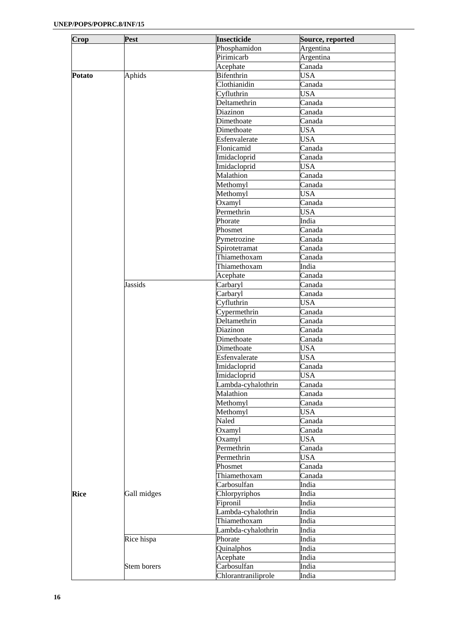| Crop          | Pest           | <b>Insecticide</b>  | Source, reported |
|---------------|----------------|---------------------|------------------|
|               |                | Phosphamidon        | Argentina        |
|               |                | Pirimicarb          | Argentina        |
|               |                | Acephate            | Canada           |
| <b>Potato</b> | Aphids         | <b>Bifenthrin</b>   | <b>USA</b>       |
|               |                | Clothianidin        | Canada           |
|               |                | Cyfluthrin          | <b>USA</b>       |
|               |                | Deltamethrin        | Canada           |
|               |                | Diazinon            | Canada           |
|               |                | Dimethoate          | Canada           |
|               |                | Dimethoate          | <b>USA</b>       |
|               |                | Esfenvalerate       | <b>USA</b>       |
|               |                | Flonicamid          | Canada           |
|               |                | Imidacloprid        | Canada           |
|               |                | Imidacloprid        | <b>USA</b>       |
|               |                | Malathion           | Canada           |
|               |                | Methomyl            | Canada           |
|               |                | Methomyl            | <b>USA</b>       |
|               |                | Oxamyl              | Canada           |
|               |                | Permethrin          | <b>USA</b>       |
|               |                | Phorate             | India            |
|               |                | Phosmet             | Canada           |
|               |                | Pymetrozine         | Canada           |
|               |                | Spirotetramat       | Canada           |
|               |                | Thiamethoxam        | Canada           |
|               |                | Thiamethoxam        | India            |
|               |                | Acephate            | Canada           |
|               | <b>Jassids</b> | Carbaryl            | Canada           |
|               |                | Carbaryl            | Canada           |
|               |                | Cyfluthrin          | <b>USA</b>       |
|               |                | Cypermethrin        | Canada           |
|               |                | Deltamethrin        | Canada           |
|               |                | Diazinon            | Canada           |
|               |                | Dimethoate          | Canada           |
|               |                | Dimethoate          | <b>USA</b>       |
|               |                | Esfenvalerate       | <b>USA</b>       |
|               |                | Imidacloprid        | Canada           |
|               |                | Imidacloprid        | <b>USA</b>       |
|               |                | Lambda-cyhalothrin  | Canada           |
|               |                | Malathion           | Canada           |
|               |                | Methomyl            | Canada           |
|               |                | Methomyl            | <b>USA</b>       |
|               |                | Naled               | Canada           |
|               |                | Oxamyl              | Canada           |
|               |                | Oxamyl              | <b>USA</b>       |
|               |                | Permethrin          | Canada           |
|               |                | Permethrin          | <b>USA</b>       |
|               |                | Phosmet             | Canada           |
|               |                | Thiamethoxam        | Canada           |
|               |                | Carbosulfan         | India            |
| <b>Rice</b>   | Gall midges    | Chlorpyriphos       | India            |
|               |                | Fipronil            | India            |
|               |                | Lambda-cyhalothrin  | India            |
|               |                | Thiamethoxam        | India            |
|               |                | Lambda-cyhalothrin  | India            |
|               | Rice hispa     | Phorate             | India            |
|               |                | Quinalphos          | India            |
|               |                | Acephate            | India            |
|               | Stem borers    | Carbosulfan         | India            |
|               |                | Chlorantraniliprole | India            |
|               |                |                     |                  |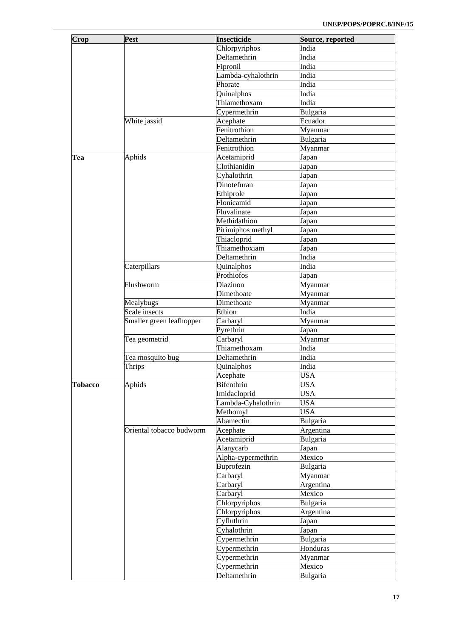| Crop           | Pest                     | <b>Insecticide</b> | Source, reported |
|----------------|--------------------------|--------------------|------------------|
|                |                          | Chlorpyriphos      | India            |
|                |                          | Deltamethrin       | India            |
|                |                          | Fipronil           | India            |
|                |                          | Lambda-cyhalothrin | India            |
|                |                          | Phorate            |                  |
|                |                          |                    | India            |
|                |                          | Quinalphos         | India            |
|                |                          | Thiamethoxam       | India            |
|                |                          | Cypermethrin       | Bulgaria         |
|                | White jassid             | Acephate           | Ecuador          |
|                |                          | Fenitrothion       | Myanmar          |
|                |                          | Deltamethrin       | Bulgaria         |
|                |                          | Fenitrothion       | Myanmar          |
| Tea            | Aphids                   | Acetamiprid        | Japan            |
|                |                          | Clothianidin       | Japan            |
|                |                          | Cyhalothrin        | Japan            |
|                |                          | Dinotefuran        | Japan            |
|                |                          | Ethiprole          | Japan            |
|                |                          | Flonicamid         | Japan            |
|                |                          | Fluvalinate        | Japan            |
|                |                          | Methidathion       | Japan            |
|                |                          | Pirimiphos methyl  | Japan            |
|                |                          | Thiacloprid        | Japan            |
|                |                          | Thiamethoxiam      | Japan            |
|                |                          | Deltamethrin       | India            |
|                | Caterpillars             | Quinalphos         | India            |
|                |                          | Prothiofos         | Japan            |
|                | Flushworm                | Diazinon           | Myanmar          |
|                |                          | Dimethoate         | Myanmar          |
|                | Mealybugs                | Dimethoate         | Myanmar          |
|                | Scale insects            | Ethion             | India            |
|                | Smaller green leafhopper | Carbaryl           | Myanmar          |
|                |                          | Pyrethrin          | Japan            |
|                | Tea geometrid            | Carbaryl           | Myanmar          |
|                |                          | Thiamethoxam       | India            |
|                | Tea mosquito bug         | Deltamethrin       | India            |
|                | Thrips                   | Quinalphos         | India            |
|                |                          | Acephate           | <b>USA</b>       |
| <b>Tobacco</b> | Aphids                   | Bifenthrin         | <b>USA</b>       |
|                |                          | Imidacloprid       | <b>USA</b>       |
|                |                          | Lambda-Cyhalothrin | <b>USA</b>       |
|                |                          | Methomyl           | <b>USA</b>       |
|                |                          | Abamectin          | Bulgaria         |
|                | Oriental tobacco budworm | Acephate           | Argentina        |
|                |                          | Acetamiprid        | Bulgaria         |
|                |                          | Alanycarb          | Japan            |
|                |                          |                    | Mexico           |
|                |                          | Alpha-cypermethrin |                  |
|                |                          | Buprofezin         | Bulgaria         |
|                |                          | Carbaryl           | Myanmar          |
|                |                          | Carbaryl           | Argentina        |
|                |                          | Carbaryl           | Mexico           |
|                |                          | Chlorpyriphos      | Bulgaria         |
|                |                          | Chlorpyriphos      | Argentina        |
|                |                          | Cyfluthrin         | Japan            |
|                |                          | Cyhalothrin        | Japan            |
|                |                          | Cypermethrin       | Bulgaria         |
|                |                          | Cypermethrin       | Honduras         |
|                |                          | Cypermethrin       | Myanmar          |
|                |                          | Cypermethrin       | Mexico           |
|                |                          | Deltamethrin       | Bulgaria         |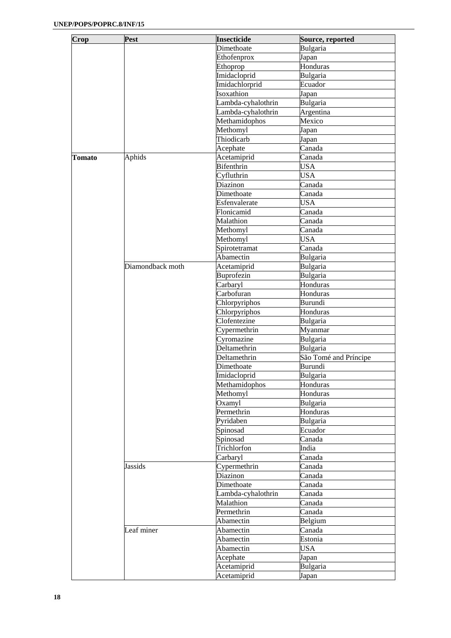| Crop   | Pest             | <b>Insecticide</b> | Source, reported      |
|--------|------------------|--------------------|-----------------------|
|        |                  | Dimethoate         | Bulgaria              |
|        |                  | Ethofenprox        | Japan                 |
|        |                  | Ethoprop           | Honduras              |
|        |                  | Imidacloprid       | Bulgaria              |
|        |                  | Imidachlorprid     | Ecuador               |
|        |                  | Isoxathion         | Japan                 |
|        |                  | Lambda-cyhalothrin | Bulgaria              |
|        |                  | Lambda-cyhalothrin | Argentina             |
|        |                  | Methamidophos      | Mexico                |
|        |                  | Methomyl           | Japan                 |
|        |                  | Thiodicarb         | Japan                 |
|        |                  |                    | Canada                |
|        |                  | Acephate           | Canada                |
| Tomato | Aphids           | Acetamiprid        |                       |
|        |                  | <b>Bifenthrin</b>  | <b>USA</b>            |
|        |                  | Cyfluthrin         | <b>USA</b>            |
|        |                  | Diazinon           | Canada                |
|        |                  | Dimethoate         | Canada                |
|        |                  | Esfenvalerate      | <b>USA</b>            |
|        |                  | Flonicamid         | Canada                |
|        |                  | Malathion          | Canada                |
|        |                  | Methomyl           | Canada                |
|        |                  | Methomyl           | <b>USA</b>            |
|        |                  | Spirotetramat      | Canada                |
|        |                  | Abamectin          | Bulgaria              |
|        | Diamondback moth | Acetamiprid        | Bulgaria              |
|        |                  | Buprofezin         | Bulgaria              |
|        |                  | Carbaryl           | Honduras              |
|        |                  | Carbofuran         | Honduras              |
|        |                  | Chlorpyriphos      | <b>Burundi</b>        |
|        |                  | Chlorpyriphos      | Honduras              |
|        |                  | Clofentezine       | Bulgaria              |
|        |                  | Cypermethrin       | Myanmar               |
|        |                  | Cyromazine         | Bulgaria              |
|        |                  | Deltamethrin       | Bulgaria              |
|        |                  | Deltamethrin       | São Tomé and Príncipe |
|        |                  |                    | Burundi               |
|        |                  | Dimethoate         |                       |
|        |                  | Imidacloprid       | Bulgaria              |
|        |                  | Methamidophos      | Honduras              |
|        |                  | Methomyl           | Honduras              |
|        |                  | Oxamyl             | Bulgaria              |
|        |                  | Permethrin         | Honduras              |
|        |                  | Pyridaben          | Bulgaria              |
|        |                  | Spinosad           | Ecuador               |
|        |                  | Spinosad           | Canada                |
|        |                  | Trichlorfon        | India                 |
|        |                  | Carbaryl           | Canada                |
|        | Jassids          | Cypermethrin       | Canada                |
|        |                  | Diazinon           | Canada                |
|        |                  | Dimethoate         | Canada                |
|        |                  | Lambda-cyhalothrin | Canada                |
|        |                  | Malathion          | Canada                |
|        |                  | Permethrin         | Canada                |
|        |                  | Abamectin          | Belgium               |
|        | Leaf miner       | Abamectin          | Canada                |
|        |                  | Abamectin          | Estonia               |
|        |                  |                    |                       |
|        |                  | Abamectin          | <b>USA</b>            |
|        |                  | Acephate           | Japan                 |
|        |                  | Acetamiprid        | Bulgaria              |
|        |                  | Acetamiprid        | Japan                 |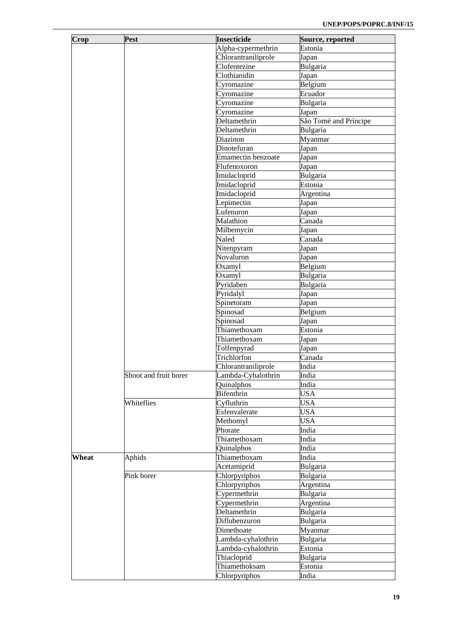| Crop  | Pest                  | <b>Insecticide</b>        | Source, reported      |
|-------|-----------------------|---------------------------|-----------------------|
|       |                       | Alpha-cypermethrin        | Estonia               |
|       |                       | Chlorantraniliprole       | Japan                 |
|       |                       | Clofentezine              | Bulgaria              |
|       |                       | Clothianidin              | Japan                 |
|       |                       | Cyromazine                | Belgium               |
|       |                       | Cyromazine                | Ecuador               |
|       |                       | Cyromazine                | Bulgaria              |
|       |                       | Cyromazine                | Japan                 |
|       |                       | Deltamethrin              | São Tomé and Príncipe |
|       |                       | Deltamethrin              | Bulgaria              |
|       |                       | Diazinon                  | Myanmar               |
|       |                       | Dinotefuran               | Japan                 |
|       |                       | <b>Emamectin benzoate</b> | Japan                 |
|       |                       | Flufenoxoron              | Japan                 |
|       |                       | Imidacloprid              | Bulgaria              |
|       |                       |                           |                       |
|       |                       | Imidacloprid              | Estonia               |
|       |                       | Imidacloprid              | Argentina             |
|       |                       | Lepimectin                | Japan                 |
|       |                       | Lufenuron                 | Japan                 |
|       |                       | Malathion                 | Canada                |
|       |                       | Milbemycin                | Japan                 |
|       |                       | Naled                     | Canada                |
|       |                       | Nitenpyram                | Japan                 |
|       |                       | Novaluron                 | Japan                 |
|       |                       | Oxamyl                    | Belgium               |
|       |                       | Oxamyl                    | Bulgaria              |
|       |                       | Pyridaben                 | Bulgaria              |
|       |                       | Pyridalyl                 | Japan                 |
|       |                       | Spinetoram                | Japan                 |
|       |                       | Spinosad                  | Belgium               |
|       |                       | Spinosad                  | Japan                 |
|       |                       | Thiamethoxam              | Estonia               |
|       |                       | Thiamethoxam              | Japan                 |
|       |                       | Tolfenpyrad               |                       |
|       |                       | Trichlorfon               | Japan                 |
|       |                       |                           | Canada                |
|       |                       | Chlorantraniliprole       | India                 |
|       | Shoot and fruit borer | Lambda-Cyhalothrin        | India                 |
|       |                       | Quinalphos                | India                 |
|       |                       | <b>Bifenthrin</b>         | <b>USA</b>            |
|       | Whiteflies            | Cyfluthrin                | <b>USA</b>            |
|       |                       | Esfenvalerate             | <b>USA</b>            |
|       |                       | Methomyl                  | <b>USA</b>            |
|       |                       | Phorate                   | India                 |
|       |                       | Thiamethoxam              | India                 |
|       |                       | Quinalphos                | India                 |
| Wheat | Aphids                | Thiamethoxam              | India                 |
|       |                       | Acetamiprid               | Bulgaria              |
|       | Pink borer            | Chlorpyriphos             | Bulgaria              |
|       |                       | Chlorpyriphos             | Argentina             |
|       |                       | Cypermethrin              | Bulgaria              |
|       |                       | Cypermethrin              | Argentina             |
|       |                       | Deltamethrin              | Bulgaria              |
|       |                       |                           |                       |
|       |                       | Diflubenzuron             | Bulgaria              |
|       |                       | Dimethoate                | Myanmar               |
|       |                       | Lambda-cyhalothrin        | Bulgaria              |
|       |                       | Lambda-cyhalothrin        | Estonia               |
|       |                       | Thiacloprid               | Bulgaria              |
|       |                       | Thiamethoksam             | Estonia               |
|       |                       | Chlorpyriphos             | India                 |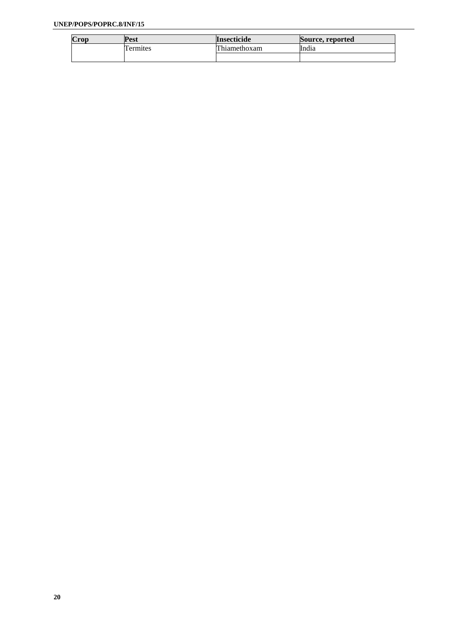| Crop | Pest    | <b>Insecticide</b> | Source, reported |
|------|---------|--------------------|------------------|
|      | ermites | Thiamethoxam       | India            |
|      |         |                    |                  |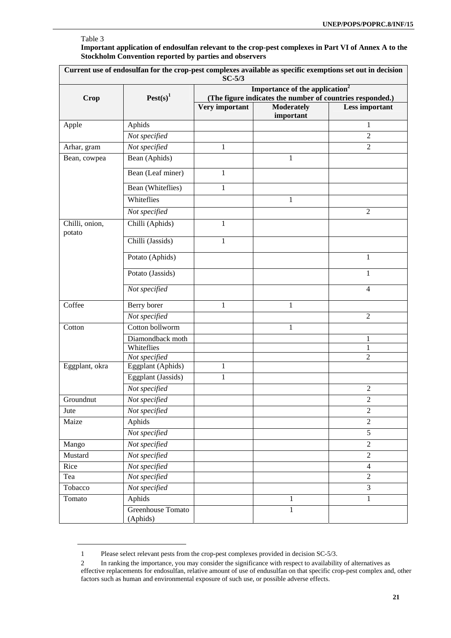## Table 3

 $\overline{a}$ 

**Important application of endosulfan relevant to the crop-pest complexes in Part VI of Annex A to the Stockholm Convention reported by parties and observers** 

| Current use of endosulfan for the crop-pest complexes available as specific exemptions set out in decision<br>$SC-5/3$ |                               |                                                                                                         |                                |                |  |
|------------------------------------------------------------------------------------------------------------------------|-------------------------------|---------------------------------------------------------------------------------------------------------|--------------------------------|----------------|--|
| <b>Crop</b>                                                                                                            | $\text{Pest}(s)^1$            | Importance of the application <sup>2</sup><br>(The figure indicates the number of countries responded.) |                                |                |  |
|                                                                                                                        |                               | Very important                                                                                          | <b>Moderately</b><br>important | Less important |  |
| Apple                                                                                                                  | Aphids                        |                                                                                                         |                                | 1              |  |
|                                                                                                                        | Not specified                 |                                                                                                         |                                | $\overline{2}$ |  |
| Arhar, gram                                                                                                            | Not specified                 | 1                                                                                                       |                                | $\overline{2}$ |  |
| Bean, cowpea                                                                                                           | Bean (Aphids)                 |                                                                                                         | 1                              |                |  |
|                                                                                                                        | Bean (Leaf miner)             | 1                                                                                                       |                                |                |  |
|                                                                                                                        | Bean (Whiteflies)             | 1                                                                                                       |                                |                |  |
|                                                                                                                        | Whiteflies                    |                                                                                                         | 1                              |                |  |
|                                                                                                                        | Not specified                 |                                                                                                         |                                | $\overline{2}$ |  |
| Chilli, onion,<br>potato                                                                                               | Chilli (Aphids)               | 1                                                                                                       |                                |                |  |
|                                                                                                                        | Chilli (Jassids)              | 1                                                                                                       |                                |                |  |
|                                                                                                                        | Potato (Aphids)               |                                                                                                         |                                | 1              |  |
|                                                                                                                        | Potato (Jassids)              |                                                                                                         |                                | 1              |  |
|                                                                                                                        | Not specified                 |                                                                                                         |                                | $\overline{4}$ |  |
| Coffee                                                                                                                 | Berry borer                   | 1                                                                                                       | 1                              |                |  |
|                                                                                                                        | Not specified                 |                                                                                                         |                                | $\overline{2}$ |  |
| Cotton                                                                                                                 | Cotton bollworm               |                                                                                                         | 1                              |                |  |
|                                                                                                                        | Diamondback moth              |                                                                                                         |                                | 1              |  |
|                                                                                                                        | Whiteflies                    |                                                                                                         |                                | $\mathbf{1}$   |  |
|                                                                                                                        | Not specified                 |                                                                                                         |                                | $\overline{2}$ |  |
| Eggplant, okra                                                                                                         | Eggplant (Aphids)             | 1                                                                                                       |                                |                |  |
|                                                                                                                        | Eggplant (Jassids)            | 1                                                                                                       |                                |                |  |
|                                                                                                                        | Not specified                 |                                                                                                         |                                | $\overline{c}$ |  |
| Groundnut                                                                                                              | Not specified                 |                                                                                                         |                                | $\overline{2}$ |  |
| Jute                                                                                                                   | Not specified                 |                                                                                                         |                                | $\overline{2}$ |  |
| Maize                                                                                                                  | Aphids                        |                                                                                                         |                                | $\overline{2}$ |  |
|                                                                                                                        | Not specified                 |                                                                                                         |                                | $\overline{5}$ |  |
| Mango                                                                                                                  | Not specified                 |                                                                                                         |                                | $\overline{2}$ |  |
| Mustard                                                                                                                | Not specified                 |                                                                                                         |                                | $\overline{2}$ |  |
| Rice                                                                                                                   | Not specified                 |                                                                                                         |                                | $\overline{4}$ |  |
| Tea                                                                                                                    | Not specified                 |                                                                                                         |                                | $\overline{2}$ |  |
| Tobacco                                                                                                                | Not specified                 |                                                                                                         |                                | $\overline{3}$ |  |
| Tomato                                                                                                                 | Aphids                        |                                                                                                         | $\mathbf{1}$                   | $\mathbf{1}$   |  |
|                                                                                                                        | Greenhouse Tomato<br>(Aphids) |                                                                                                         | 1                              |                |  |

<sup>1</sup> Please select relevant pests from the crop-pest complexes provided in decision SC-5/3.

<sup>2</sup> In ranking the importance, you may consider the significance with respect to availability of alternatives as effective replacements for endosulfan, relative amount of use of endusulfan on that specific crop-pest complex and, other factors such as human and environmental exposure of such use, or possible adverse effects.